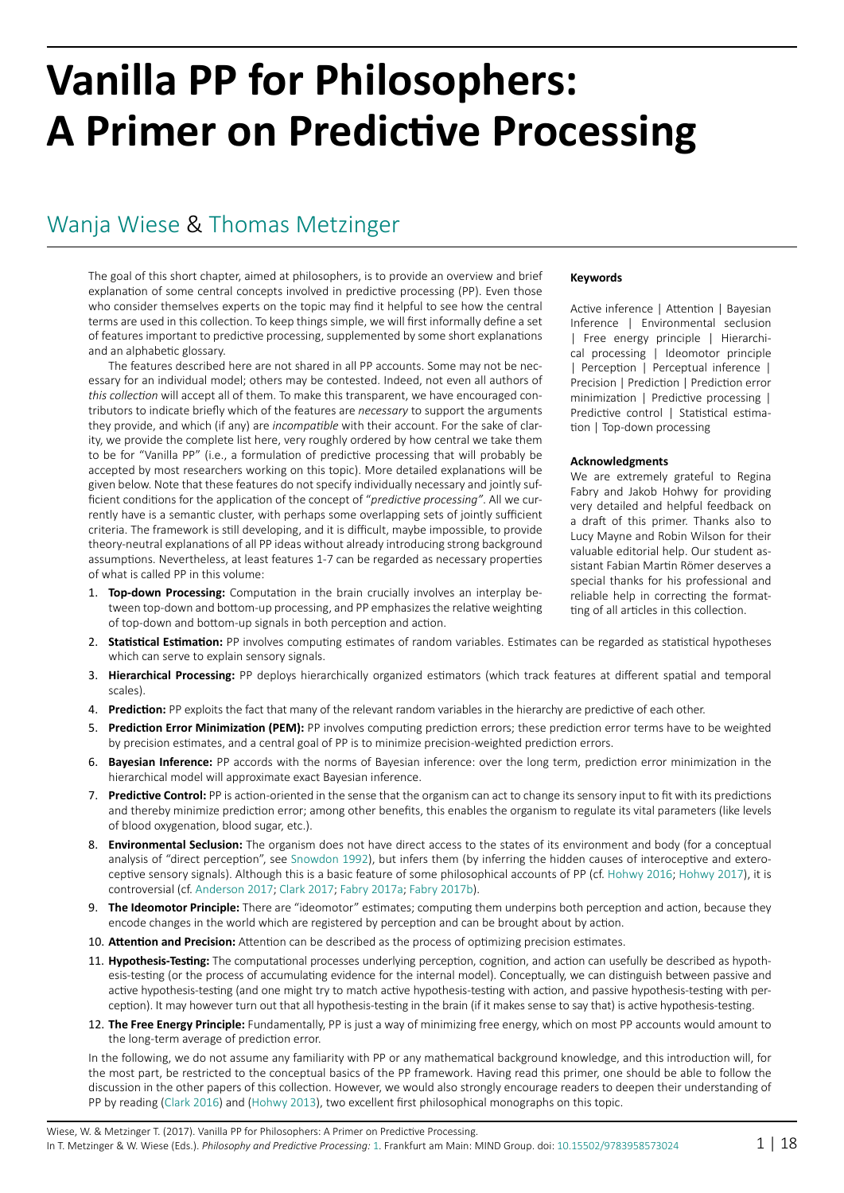# **Vanilla PP for Philosophers: A Primer on Predictive Processing**

## [Wanja Wiese](http://predictive-mind.net/ppp-contributors/Wanja_Wiese) & [Thomas Metzinger](http://predictive-mind.net/ppp-contributors/Thomas_K_Metzinger)

The goal of this short chapter, aimed at philosophers, is to provide an overview and brief explanation of some central concepts involved in predictive processing (PP). Even those who consider themselves experts on the topic may find it helpful to see how the central terms are used in this collection. To keep things simple, we will first informally define a set of features important to predictive processing, supplemented by some short explanations and an alphabetic glossary.

The features described here are not shared in all PP accounts. Some may not be necessary for an individual model; others may be contested. Indeed, not even all authors of *this collection* will accept all of them. To make this transparent, we have encouraged contributors to indicate briefly which of the features are *necessary* to support the arguments they provide, and which (if any) are *incompatible* with their account. For the sake of clarity, we provide the complete list here, very roughly ordered by how central we take them to be for "Vanilla PP" (i.e., a formulation of predictive processing that will probably be accepted by most researchers working on this topic). More detailed explanations will be given below. Note that these features do not specify individually necessary and jointly sufficient conditions for the application of the concept of "*predictive processing"*. All we currently have is a semantic cluster, with perhaps some overlapping sets of jointly sufficient criteria. The framework is still developing, and it is difficult, maybe impossible, to provide theory-neutral explanations of all PP ideas without already introducing strong background assumptions. Nevertheless, at least features 1-7 can be regarded as necessary properties of what is called PP in this volume:

1. **Top-down Processing:** Computation in the brain crucially involves an interplay between top-down and bottom-up processing, and PP emphasizes the relative weighting of top-down and bottom-up signals in both perception and action.

#### 2. **Statistical Estimation:** PP involves computing estimates of random variables. Estimates can be regarded as statistical hypotheses which can serve to explain sensory signals.

- 3. **Hierarchical Processing:** PP deploys hierarchically organized estimators (which track features at different spatial and temporal scales).
- 4. **Prediction:** PP exploits the fact that many of the relevant random variables in the hierarchy are predictive of each other.
- 5. **Prediction Error Minimization (PEM):** PP involves computing prediction errors; these prediction error terms have to be weighted by precision estimates, and a central goal of PP is to minimize precision-weighted prediction errors.
- 6. **Bayesian Inference:** PP accords with the norms of Bayesian inference: over the long term, prediction error minimization in the hierarchical model will approximate exact Bayesian inference.
- 7. **Predictive Control:** PP is action-oriented in the sense that the organism can act to change its sensory input to fit with its predictions and thereby minimize prediction error; among other benefits, this enables the organism to regulate its vital parameters (like levels of blood oxygenation, blood sugar, etc.).
- 8. **Environmental Seclusion:** The organism does not have direct access to the states of its environment and body (for a conceptual analysis of "direct perception", see [Snowdon 1992\)](#page-17-0), but infers them (by inferring the hidden causes of interoceptive and exteroceptive sensory signals). Although this is a basic feature of some philosophical accounts of PP (cf. [Hohwy 2016](#page-16-0); [Hohwy 2017](#page-16-1)), it is controversial (cf. [Anderson 2017](#page-14-0); [Clark 2017](#page-15-0); [Fabry 2017](#page-15-1)a; [Fabry 2017](#page-15-2)b).
- 9. **The Ideomotor Principle:** There are "ideomotor" estimates; computing them underpins both perception and action, because they encode changes in the world which are registered by perception and can be brought about by action.
- 10. **Attention and Precision:** Attention can be described as the process of optimizing precision estimates.
- 11. **Hypothesis-Testing:** The computational processes underlying perception, cognition, and action can usefully be described as hypothesis-testing (or the process of accumulating evidence for the internal model). Conceptually, we can distinguish between passive and active hypothesis-testing (and one might try to match active hypothesis-testing with action, and passive hypothesis-testing with perception). It may however turn out that all hypothesis-testing in the brain (if it makes sense to say that) is active hypothesis-testing.
- 12. **The Free Energy Principle:** Fundamentally, PP is just a way of minimizing free energy, which on most PP accounts would amount to the long-term average of prediction error.

In the following, we do not assume any familiarity with PP or any mathematical background knowledge, and this introduction will, for the most part, be restricted to the conceptual basics of the PP framework. Having read this primer, one should be able to follow the discussion in the other papers of this collection. However, we would also strongly encourage readers to deepen their understanding of PP by reading [\(Clark 2016](#page-15-3)) and ([Hohwy 2013](#page-16-2)), two excellent first philosophical monographs on this topic.

#### **Keywords**

Active inference | Attention | Bayesian Inference | Environmental seclusion | Free energy principle | Hierarchical processing | Ideomotor principle | Perception | Perceptual inference | Precision | Prediction | Prediction error minimization | Predictive processing | Predictive control | Statistical estimation | Top-down processing

#### **Acknowledgments**

We are extremely grateful to Regina Fabry and Jakob Hohwy for providing very detailed and helpful feedback on a draft of this primer. Thanks also to Lucy Mayne and Robin Wilson for their valuable editorial help. Our student assistant Fabian Martin Römer deserves a special thanks for his professional and reliable help in correcting the formatting of all articles in this collection.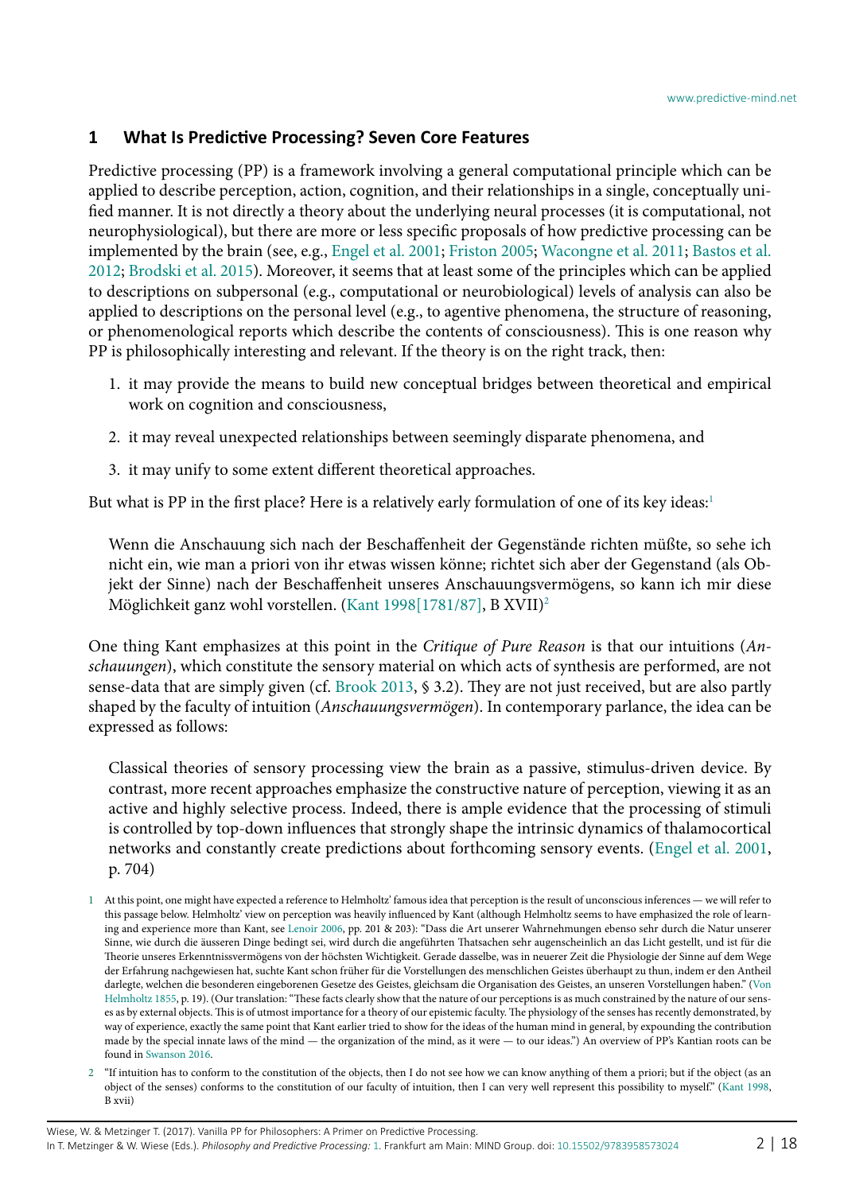## **1 What Is Predictive Processing? Seven Core Features**

Predictive processing (PP) is a framework involving a general computational principle which can be applied to describe perception, action, cognition, and their relationships in a single, conceptually unified manner. It is not directly a theory about the underlying neural processes (it is computational, not neurophysiological), but there are more or less specific proposals of how predictive processing can be implemented by the brain (see, e.g., [Engel et al. 2001](#page-15-4); [Friston 2005;](#page-15-5) [Wacongne et al. 2011](#page-17-1); [Bastos et al.](#page-14-1) [2012](#page-14-1); [Brodski et al. 2015](#page-14-2)). Moreover, it seems that at least some of the principles which can be applied to descriptions on subpersonal (e.g., computational or neurobiological) levels of analysis can also be applied to descriptions on the personal level (e.g., to agentive phenomena, the structure of reasoning, or phenomenological reports which describe the contents of consciousness). This is one reason why PP is philosophically interesting and relevant. If the theory is on the right track, then:

- 1. it may provide the means to build new conceptual bridges between theoretical and empirical work on cognition and consciousness,
- 2. it may reveal unexpected relationships between seemingly disparate phenomena, and
- 3. it may unify to some extent different theoretical approaches.

But what is PP in the first place? Here is a relatively early formulation of one of its key ideas:<sup>1</sup>

Wenn die Anschauung sich nach der Beschaffenheit der Gegenstände richten müßte, so sehe ich nicht ein, wie man a priori von ihr etwas wissen könne; richtet sich aber der Gegenstand (als Objekt der Sinne) nach der Beschaffenheit unseres Anschauungsvermögens, so kann ich mir diese Möglichkeit ganz wohl vorstellen. ([Kant 1998\[1781/87\]](#page-16-3), B XVII)[2](#page-1-1)

One thing Kant emphasizes at this point in the *Critique of Pure Reason* is that our intuitions (*Anschauungen*), which constitute the sensory material on which acts of synthesis are performed, are not sense-data that are simply given (cf. [Brook 2013,](#page-14-3) § 3.2). They are not just received, but are also partly shaped by the faculty of intuition (*Anschauungsvermögen*). In contemporary parlance, the idea can be expressed as follows:

Classical theories of sensory processing view the brain as a passive, stimulus-driven device. By contrast, more recent approaches emphasize the constructive nature of perception, viewing it as an active and highly selective process. Indeed, there is ample evidence that the processing of stimuli is controlled by top-down influences that strongly shape the intrinsic dynamics of thalamocortical networks and constantly create predictions about forthcoming sensory events. ([Engel et al. 2001,](#page-15-4) p. 704)

<span id="page-1-1"></span>2 "If intuition has to conform to the constitution of the objects, then I do not see how we can know anything of them a priori; but if the object (as an object of the senses) conforms to the constitution of our faculty of intuition, then I can very well represent this possibility to myself." [\(Kant 1998](#page-16-5), B xvii)

<span id="page-1-0"></span><sup>1</sup> At this point, one might have expected a reference to Helmholtz' famous idea that perception is the result of unconscious inferences — we will refer to this passage below. Helmholtz' view on perception was heavily influenced by Kant (although Helmholtz seems to have emphasized the role of learning and experience more than Kant, see [Lenoir 2006,](#page-16-4) pp. 201 & 203): "Dass die Art unserer Wahrnehmungen ebenso sehr durch die Natur unserer Sinne, wie durch die äusseren Dinge bedingt sei, wird durch die angeführten Thatsachen sehr augenscheinlich an das Licht gestellt, und ist für die Theorie unseres Erkenntnissvermögens von der höchsten Wichtigkeit. Gerade dasselbe, was in neuerer Zeit die Physiologie der Sinne auf dem Wege der Erfahrung nachgewiesen hat, suchte Kant schon früher für die Vorstellungen des menschlichen Geistes überhaupt zu thun, indem er den Antheil darlegte, welchen die besonderen eingeborenen Gesetze des Geistes, gleichsam die Organisation des Geistes, an unseren Vorstellungen haben." [\(Von](#page-17-2) [Helmholtz 1855](#page-17-2), p. 19). (Our translation: "These facts clearly show that the nature of our perceptions is as much constrained by the nature of our senses as by external objects. This is of utmost importance for a theory of our epistemic faculty. The physiology of the senses has recently demonstrated, by way of experience, exactly the same point that Kant earlier tried to show for the ideas of the human mind in general, by expounding the contribution made by the special innate laws of the mind — the organization of the mind, as it were — to our ideas.") An overview of PP's Kantian roots can be found in [Swanson 2016](#page-17-3).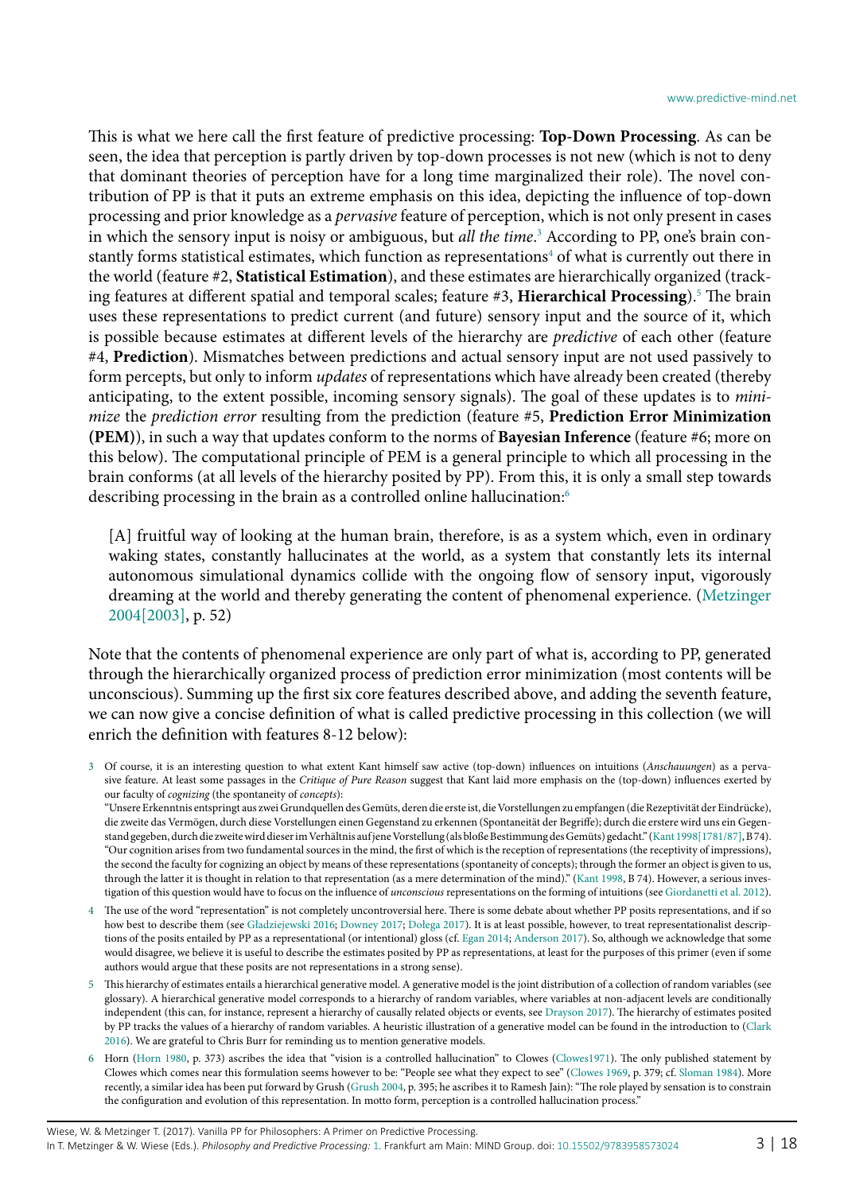This is what we here call the first feature of predictive processing: **Top-Down Processing**. As can be seen, the idea that perception is partly driven by top-down processes is not new (which is not to deny that dominant theories of perception have for a long time marginalized their role). The novel contribution of PP is that it puts an extreme emphasis on this idea, depicting the influence of top-down processing and prior knowledge as a *pervasive* feature of perception, which is not only present in cases in which the sensory input is noisy or ambiguous, but *all the time*. [3](#page-2-0) According to PP, one's brain constantly forms statistical estimates, which function as representations $^4$  $^4$  of what is currently out there in the world (feature #2, **Statistical Estimation**), and these estimates are hierarchically organized (tracking features at different spatial and temporal scales; feature #3, **Hierarchical Processing**).[5](#page-2-2) The brain uses these representations to predict current (and future) sensory input and the source of it, which is possible because estimates at different levels of the hierarchy are *predictive* of each other (feature #4, **Prediction**). Mismatches between predictions and actual sensory input are not used passively to form percepts, but only to inform *updates* of representations which have already been created (thereby anticipating, to the extent possible, incoming sensory signals). The goal of these updates is to *minimize* the *prediction error* resulting from the prediction (feature #5, **Prediction Error Minimization (PEM)**), in such a way that updates conform to the norms of **Bayesian Inference** (feature #6; more on this below). The computational principle of PEM is a general principle to which all processing in the brain conforms (at all levels of the hierarchy posited by PP). From this, it is only a small step towards describing processing in the brain as a controlled online hallucination:<sup>[6](#page-2-3)</sup>

[A] fruitful way of looking at the human brain, therefore, is as a system which, even in ordinary waking states, constantly hallucinates at the world, as a system that constantly lets its internal autonomous simulational dynamics collide with the ongoing flow of sensory input, vigorously dreaming at the world and thereby generating the content of phenomenal experience. [\(Metzinger](#page-16-6) [2004\[2003\],](#page-16-6) p. 52)

Note that the contents of phenomenal experience are only part of what is, according to PP, generated through the hierarchically organized process of prediction error minimization (most contents will be unconscious). Summing up the first six core features described above, and adding the seventh feature, we can now give a concise definition of what is called predictive processing in this collection (we will enrich the definition with features 8-12 below):

<span id="page-2-0"></span>3 Of course, it is an interesting question to what extent Kant himself saw active (top-down) influences on intuitions (*Anschauungen*) as a pervasive feature. At least some passages in the *Critique of Pure Reason* suggest that Kant laid more emphasis on the (top-down) influences exerted by our faculty of *cognizing* (the spontaneity of *concepts*):

"Unsere Erkenntnis entspringt aus zwei Grundquellen des Gemüts, deren die erste ist, die Vorstellungen zu empfangen (die Rezeptivität der Eindrücke), die zweite das Vermögen, durch diese Vorstellungen einen Gegenstand zu erkennen (Spontaneität der Begriffe); durch die erstere wird uns ein Gegenstand gegeben, durch die zweite wird dieser im Verhältnis auf jene Vorstellung (als bloße Bestimmung des Gemüts) gedacht." ([Kant 1998\[1781/87\]](#page-16-3), B 74). "Our cognition arises from two fundamental sources in the mind, the first of which is the reception of representations (the receptivity of impressions), the second the faculty for cognizing an object by means of these representations (spontaneity of concepts); through the former an object is given to us, through the latter it is thought in relation to that representation (as a mere determination of the mind)." ([Kant 1998](#page-16-5), B 74). However, a serious investigation of this question would have to focus on the influence of *unconscious* representations on the forming of intuitions (see [Giordanetti et al. 2012\)](#page-16-7).

- <span id="page-2-1"></span>4 The use of the word "representation" is not completely uncontroversial here. There is some debate about whether PP posits representations, and if so how best to describe them (see [Gładziejewski 2016](#page-16-8); [Downey 2017](#page-15-6); [Dołega 2017](#page-15-7)). It is at least possible, however, to treat representationalist descriptions of the posits entailed by PP as a representational (or intentional) gloss (cf. [Egan 2014](#page-15-8); [Anderson 2017](#page-14-0)). So, although we acknowledge that some would disagree, we believe it is useful to describe the estimates posited by PP as representations, at least for the purposes of this primer (even if some authors would argue that these posits are not representations in a strong sense).
- <span id="page-2-2"></span>5 This hierarchy of estimates entails a hierarchical generative model. A generative model is the joint distribution of a collection of random variables (see glossary). A hierarchical generative model corresponds to a hierarchy of random variables, where variables at non-adjacent levels are conditionally independent (this can, for instance, represent a hierarchy of causally related objects or events, see [Drayson 2017](#page-15-9)). The hierarchy of estimates posited by PP tracks the values of a hierarchy of random variables. A heuristic illustration of a generative model can be found in the introduction to [\(Clark](#page-15-3) [2016](#page-15-3)). We are grateful to Chris Burr for reminding us to mention generative models.
- <span id="page-2-3"></span>6 Horn [\(Horn 1980,](#page-16-9) p. 373) ascribes the idea that "vision is a controlled hallucination" to Clowes (Clowes1971). The only published statement by Clowes which comes near this formulation seems however to be: "People see what they expect to see" [\(Clowes 1969,](#page-15-10) p. 379; cf. [Sloman 1984\)](#page-17-4). More recently, a similar idea has been put forward by Grush [\(Grush 2004](#page-16-10), p. 395; he ascribes it to Ramesh Jain): "The role played by sensation is to constrain the configuration and evolution of this representation. In motto form, perception is a controlled hallucination process."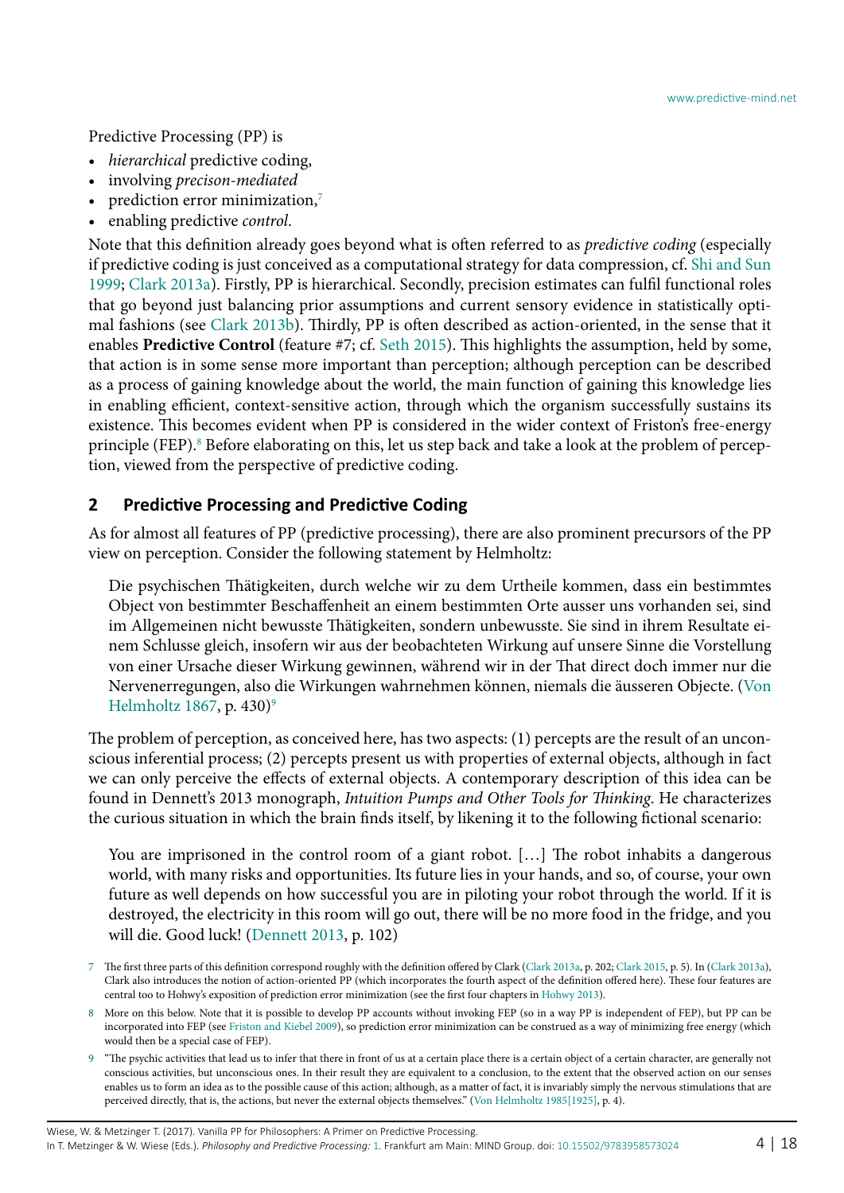Predictive Processing (PP) is

- *hierarchical* predictive coding,
- involving *precison-mediated*
- prediction error minimization, $7$
- enabling predictive *control*.

Note that this definition already goes beyond what is often referred to as *predictive coding* (especially if predictive coding is just conceived as a computational strategy for data compression, cf. [Shi and Sun](#page-17-5) [1999](#page-17-5); [Clark 2013](#page-14-4)a). Firstly, PP is hierarchical. Secondly, precision estimates can fulfil functional roles that go beyond just balancing prior assumptions and current sensory evidence in statistically optimal fashions (see [Clark 2013](#page-14-5)b). Thirdly, PP is often described as action-oriented, in the sense that it enables **Predictive Control** (feature #7; cf. [Seth 2015\)](#page-17-6). This highlights the assumption, held by some, that action is in some sense more important than perception; although perception can be described as a process of gaining knowledge about the world, the main function of gaining this knowledge lies in enabling efficient, context-sensitive action, through which the organism successfully sustains its existence. This becomes evident when PP is considered in the wider context of Friston's free-energy principle (FEP).<sup>[8](#page-3-1)</sup> Before elaborating on this, let us step back and take a look at the problem of perception, viewed from the perspective of predictive coding.

#### **2 Predictive Processing and Predictive Coding**

As for almost all features of PP (predictive processing), there are also prominent precursors of the PP view on perception. Consider the following statement by Helmholtz:

Die psychischen Thätigkeiten, durch welche wir zu dem Urtheile kommen, dass ein bestimmtes Object von bestimmter Beschaffenheit an einem bestimmten Orte ausser uns vorhanden sei, sind im Allgemeinen nicht bewusste Thätigkeiten, sondern unbewusste. Sie sind in ihrem Resultate einem Schlusse gleich, insofern wir aus der beobachteten Wirkung auf unsere Sinne die Vorstellung von einer Ursache dieser Wirkung gewinnen, während wir in der That direct doch immer nur die Nervenerregungen, also die Wirkungen wahrnehmen können, niemals die äusseren Objecte. [\(Von](#page-17-7) [Helmholtz 1867](#page-17-7), p. 430) $9$ 

The problem of perception, as conceived here, has two aspects: (1) percepts are the result of an unconscious inferential process; (2) percepts present us with properties of external objects, although in fact we can only perceive the effects of external objects. A contemporary description of this idea can be found in Dennett's 2013 monograph, *Intuition Pumps and Other Tools for Thinking*. He characterizes the curious situation in which the brain finds itself, by likening it to the following fictional scenario:

You are imprisoned in the control room of a giant robot. [...] The robot inhabits a dangerous world, with many risks and opportunities. Its future lies in your hands, and so, of course, your own future as well depends on how successful you are in piloting your robot through the world. If it is destroyed, the electricity in this room will go out, there will be no more food in the fridge, and you will die. Good luck! ([Dennett 2013,](#page-15-11) p. 102)

<span id="page-3-0"></span><sup>7</sup> The first three parts of this definition correspond roughly with the definition offered by Clark ([Clark 2013a](#page-14-4), p. 202; [Clark 2015](#page-15-12), p. 5). In [\(Clark 2013](#page-14-4)a), Clark also introduces the notion of action-oriented PP (which incorporates the fourth aspect of the definition offered here). These four features are central too to Hohwy's exposition of prediction error minimization (see the first four chapters in [Hohwy 2013\)](#page-16-2).

<span id="page-3-1"></span><sup>8</sup> More on this below. Note that it is possible to develop PP accounts without invoking FEP (so in a way PP is independent of FEP), but PP can be incorporated into FEP (see [Friston and Kiebel 2009\)](#page-15-13), so prediction error minimization can be construed as a way of minimizing free energy (which would then be a special case of FEP).

<span id="page-3-2"></span><sup>9</sup> "The psychic activities that lead us to infer that there in front of us at a certain place there is a certain object of a certain character, are generally not conscious activities, but unconscious ones. In their result they are equivalent to a conclusion, to the extent that the observed action on our senses enables us to form an idea as to the possible cause of this action; although, as a matter of fact, it is invariably simply the nervous stimulations that are perceived directly, that is, the actions, but never the external objects themselves." [\(Von Helmholtz 1985\[1925\]](#page-17-8), p. 4).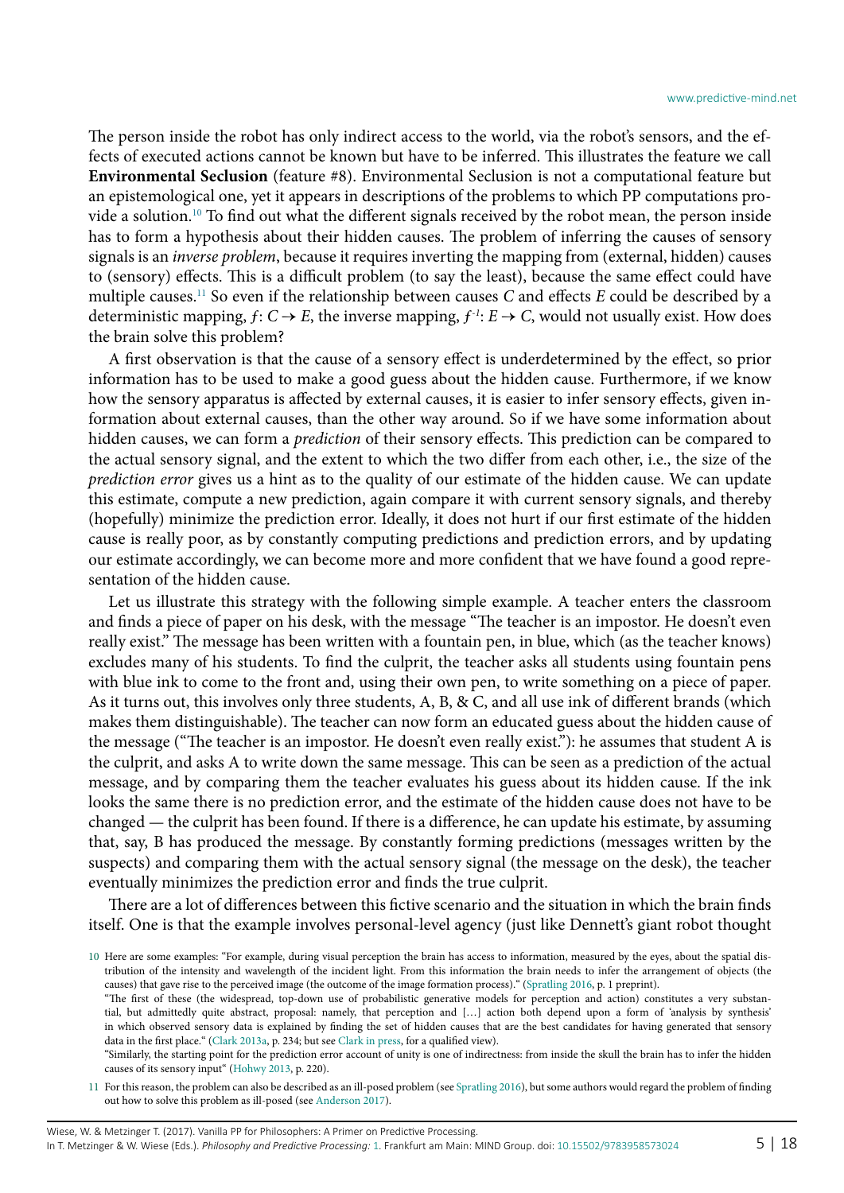The person inside the robot has only indirect access to the world, via the robot's sensors, and the effects of executed actions cannot be known but have to be inferred. This illustrates the feature we call **Environmental Seclusion** (feature #8). Environmental Seclusion is not a computational feature but an epistemological one, yet it appears in descriptions of the problems to which PP computations provide a solution.[10](#page-4-0) To find out what the different signals received by the robot mean, the person inside has to form a hypothesis about their hidden causes. The problem of inferring the causes of sensory signals is an *inverse problem*, because it requires inverting the mapping from (external, hidden) causes to (sensory) effects. This is a difficult problem (to say the least), because the same effect could have multiple causes.[11](#page-4-1) So even if the relationship between causes *C* and effects *E* could be described by a deterministic mapping,  $f: C \rightarrow E$ , the inverse mapping,  $f^{-1}: E \rightarrow C$ , would not usually exist. How does the brain solve this problem?

A first observation is that the cause of a sensory effect is underdetermined by the effect, so prior information has to be used to make a good guess about the hidden cause. Furthermore, if we know how the sensory apparatus is affected by external causes, it is easier to infer sensory effects, given information about external causes, than the other way around. So if we have some information about hidden causes, we can form a *prediction* of their sensory effects. This prediction can be compared to the actual sensory signal, and the extent to which the two differ from each other, i.e., the size of the *prediction error* gives us a hint as to the quality of our estimate of the hidden cause. We can update this estimate, compute a new prediction, again compare it with current sensory signals, and thereby (hopefully) minimize the prediction error. Ideally, it does not hurt if our first estimate of the hidden cause is really poor, as by constantly computing predictions and prediction errors, and by updating our estimate accordingly, we can become more and more confident that we have found a good representation of the hidden cause.

Let us illustrate this strategy with the following simple example. A teacher enters the classroom and finds a piece of paper on his desk, with the message "The teacher is an impostor. He doesn't even really exist." The message has been written with a fountain pen, in blue, which (as the teacher knows) excludes many of his students. To find the culprit, the teacher asks all students using fountain pens with blue ink to come to the front and, using their own pen, to write something on a piece of paper. As it turns out, this involves only three students, A, B, & C, and all use ink of different brands (which makes them distinguishable). The teacher can now form an educated guess about the hidden cause of the message ("The teacher is an impostor. He doesn't even really exist."): he assumes that student A is the culprit, and asks A to write down the same message. This can be seen as a prediction of the actual message, and by comparing them the teacher evaluates his guess about its hidden cause. If the ink looks the same there is no prediction error, and the estimate of the hidden cause does not have to be changed — the culprit has been found. If there is a difference, he can update his estimate, by assuming that, say, B has produced the message. By constantly forming predictions (messages written by the suspects) and comparing them with the actual sensory signal (the message on the desk), the teacher eventually minimizes the prediction error and finds the true culprit.

There are a lot of differences between this fictive scenario and the situation in which the brain finds itself. One is that the example involves personal-level agency (just like Dennett's giant robot thought

<span id="page-4-0"></span><sup>10</sup> Here are some examples: "For example, during visual perception the brain has access to information, measured by the eyes, about the spatial distribution of the intensity and wavelength of the incident light. From this information the brain needs to infer the arrangement of objects (the causes) that gave rise to the perceived image (the outcome of the image formation process)." ([Spratling 2016,](#page-17-9) p. 1 preprint).

<sup>&</sup>quot;The first of these (the widespread, top-down use of probabilistic generative models for perception and action) constitutes a very substantial, but admittedly quite abstract, proposal: namely, that perception and […] action both depend upon a form of 'analysis by synthesis' in which observed sensory data is explained by finding the set of hidden causes that are the best candidates for having generated that sensory data in the first place." ([Clark 2013a](#page-14-4), p. 234; but see [Clark in press,](#page-15-14) for a qualified view).

<sup>&</sup>quot;Similarly, the starting point for the prediction error account of unity is one of indirectness: from inside the skull the brain has to infer the hidden causes of its sensory input" [\(Hohwy 2013,](#page-16-2) p. 220).

<span id="page-4-1"></span><sup>11</sup> For this reason, the problem can also be described as an ill-posed problem (see [Spratling 2016\)](#page-17-9), but some authors would regard the problem of finding out how to solve this problem as ill-posed (see [Anderson 2017\)](#page-14-0).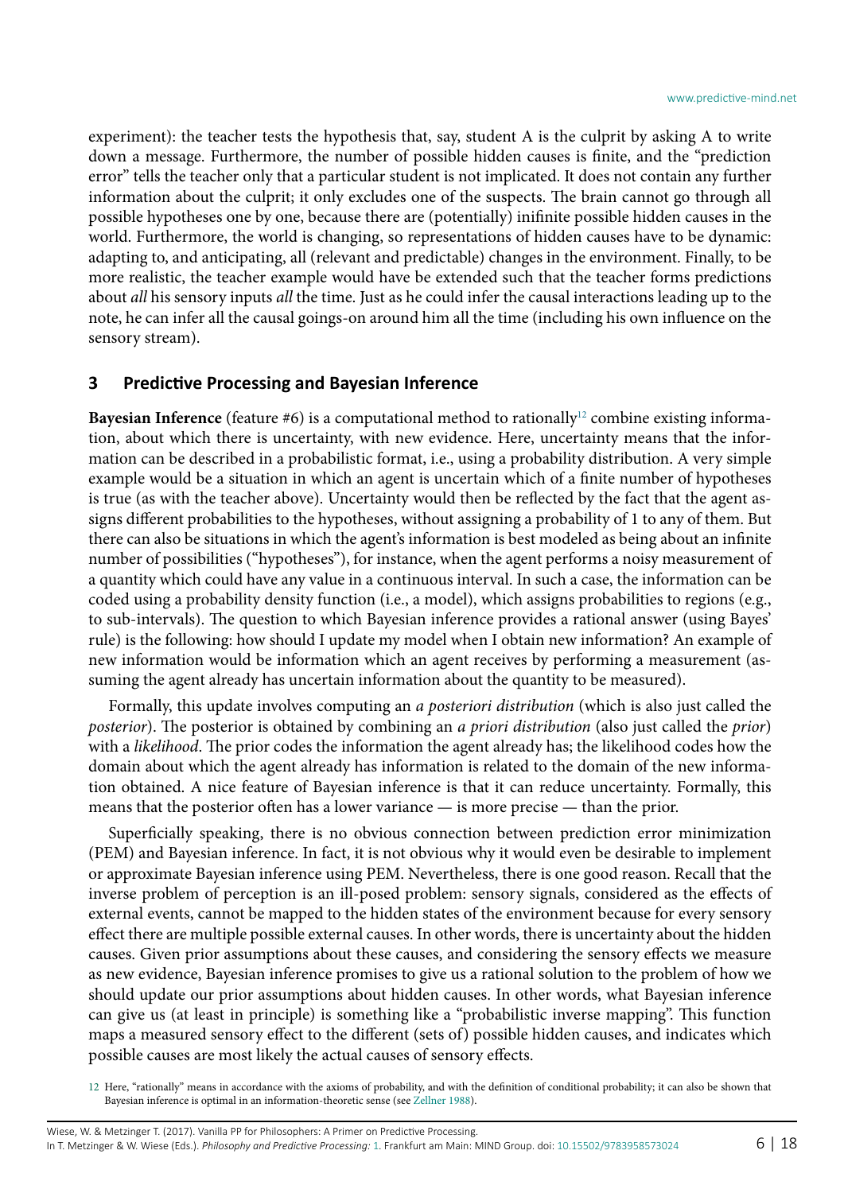experiment): the teacher tests the hypothesis that, say, student A is the culprit by asking A to write down a message. Furthermore, the number of possible hidden causes is finite, and the "prediction error" tells the teacher only that a particular student is not implicated. It does not contain any further information about the culprit; it only excludes one of the suspects. The brain cannot go through all possible hypotheses one by one, because there are (potentially) inifinite possible hidden causes in the world. Furthermore, the world is changing, so representations of hidden causes have to be dynamic: adapting to, and anticipating, all (relevant and predictable) changes in the environment. Finally, to be more realistic, the teacher example would have be extended such that the teacher forms predictions about *all* his sensory inputs *all* the time. Just as he could infer the causal interactions leading up to the note, he can infer all the causal goings-on around him all the time (including his own influence on the sensory stream).

#### **3 Predictive Processing and Bayesian Inference**

**Bayesian Inference** (feature #6) is a computational method to rationally<sup>12</sup> combine existing information, about which there is uncertainty, with new evidence. Here, uncertainty means that the information can be described in a probabilistic format, i.e., using a probability distribution. A very simple example would be a situation in which an agent is uncertain which of a finite number of hypotheses is true (as with the teacher above). Uncertainty would then be reflected by the fact that the agent assigns different probabilities to the hypotheses, without assigning a probability of 1 to any of them. But there can also be situations in which the agent's information is best modeled as being about an infinite number of possibilities ("hypotheses"), for instance, when the agent performs a noisy measurement of a quantity which could have any value in a continuous interval. In such a case, the information can be coded using a probability density function (i.e., a model), which assigns probabilities to regions (e.g., to sub-intervals). The question to which Bayesian inference provides a rational answer (using Bayes' rule) is the following: how should I update my model when I obtain new information? An example of new information would be information which an agent receives by performing a measurement (assuming the agent already has uncertain information about the quantity to be measured).

Formally, this update involves computing an *a posteriori distribution* (which is also just called the *posterior*). The posterior is obtained by combining an *a priori distribution* (also just called the *prior*) with a *likelihood*. The prior codes the information the agent already has; the likelihood codes how the domain about which the agent already has information is related to the domain of the new information obtained. A nice feature of Bayesian inference is that it can reduce uncertainty. Formally, this means that the posterior often has a lower variance — is more precise — than the prior.

Superficially speaking, there is no obvious connection between prediction error minimization (PEM) and Bayesian inference. In fact, it is not obvious why it would even be desirable to implement or approximate Bayesian inference using PEM. Nevertheless, there is one good reason. Recall that the inverse problem of perception is an ill-posed problem: sensory signals, considered as the effects of external events, cannot be mapped to the hidden states of the environment because for every sensory effect there are multiple possible external causes. In other words, there is uncertainty about the hidden causes. Given prior assumptions about these causes, and considering the sensory effects we measure as new evidence, Bayesian inference promises to give us a rational solution to the problem of how we should update our prior assumptions about hidden causes. In other words, what Bayesian inference can give us (at least in principle) is something like a "probabilistic inverse mapping". This function maps a measured sensory effect to the different (sets of) possible hidden causes, and indicates which possible causes are most likely the actual causes of sensory effects.

<span id="page-5-0"></span><sup>12</sup> Here, "rationally" means in accordance with the axioms of probability, and with the definition of conditional probability; it can also be shown that Bayesian inference is optimal in an information-theoretic sense (see [Zellner 1988\)](#page-17-10).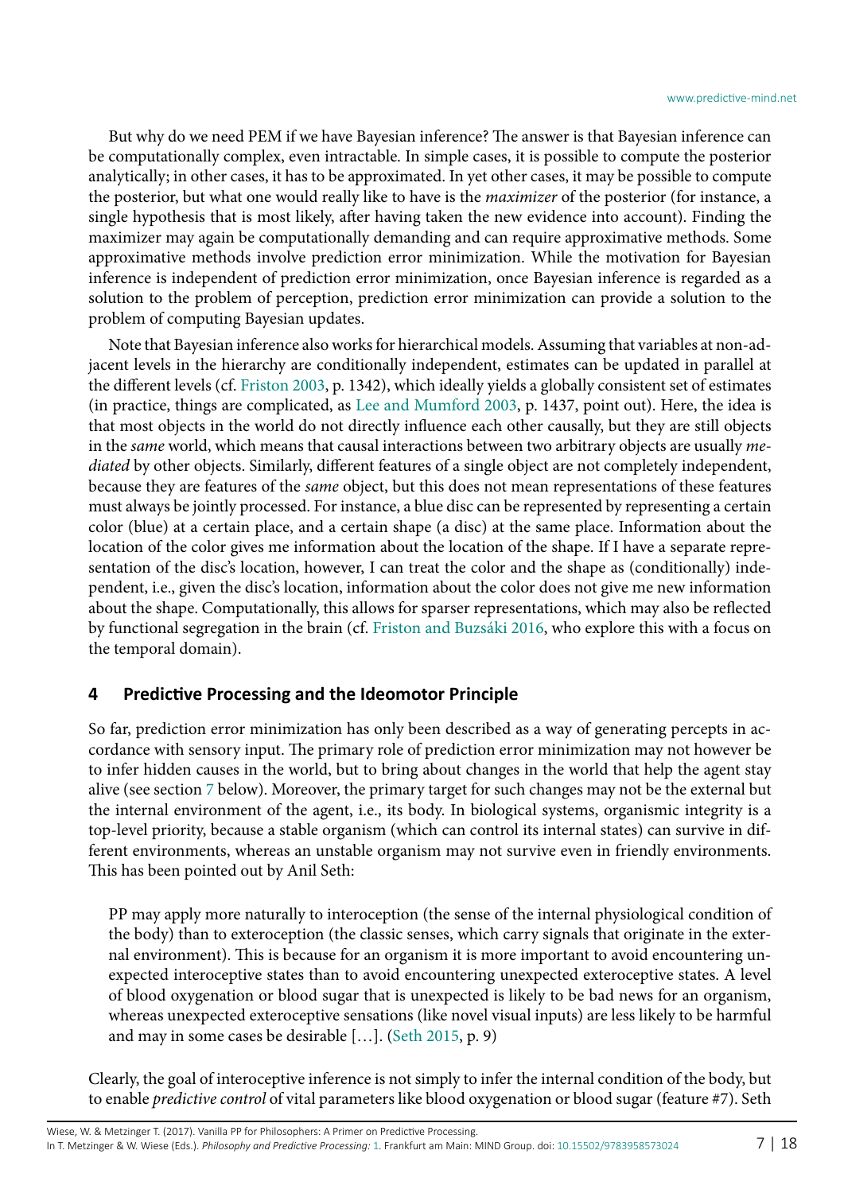But why do we need PEM if we have Bayesian inference? The answer is that Bayesian inference can be computationally complex, even intractable. In simple cases, it is possible to compute the posterior analytically; in other cases, it has to be approximated. In yet other cases, it may be possible to compute the posterior, but what one would really like to have is the *maximizer* of the posterior (for instance, a single hypothesis that is most likely, after having taken the new evidence into account). Finding the maximizer may again be computationally demanding and can require approximative methods. Some approximative methods involve prediction error minimization. While the motivation for Bayesian inference is independent of prediction error minimization, once Bayesian inference is regarded as a solution to the problem of perception, prediction error minimization can provide a solution to the problem of computing Bayesian updates.

Note that Bayesian inference also works for hierarchical models. Assuming that variables at non-adjacent levels in the hierarchy are conditionally independent, estimates can be updated in parallel at the different levels (cf. [Friston 2003](#page-15-15), p. 1342), which ideally yields a globally consistent set of estimates (in practice, things are complicated, as [Lee and Mumford 2003,](#page-16-11) p. 1437, point out). Here, the idea is that most objects in the world do not directly influence each other causally, but they are still objects in the *same* world, which means that causal interactions between two arbitrary objects are usually *mediated* by other objects. Similarly, different features of a single object are not completely independent, because they are features of the *same* object, but this does not mean representations of these features must always be jointly processed. For instance, a blue disc can be represented by representing a certain color (blue) at a certain place, and a certain shape (a disc) at the same place. Information about the location of the color gives me information about the location of the shape. If I have a separate representation of the disc's location, however, I can treat the color and the shape as (conditionally) independent, i.e., given the disc's location, information about the color does not give me new information about the shape. Computationally, this allows for sparser representations, which may also be reflected by functional segregation in the brain (cf. [Friston and Buzsáki 2016,](#page-15-16) who explore this with a focus on the temporal domain).

### **4 Predictive Processing and the Ideomotor Principle**

So far, prediction error minimization has only been described as a way of generating percepts in accordance with sensory input. The primary role of prediction error minimization may not however be to infer hidden causes in the world, but to bring about changes in the world that help the agent stay alive (see section [7](#page-10-0) below). Moreover, the primary target for such changes may not be the external but the internal environment of the agent, i.e., its body. In biological systems, organismic integrity is a top-level priority, because a stable organism (which can control its internal states) can survive in different environments, whereas an unstable organism may not survive even in friendly environments. This has been pointed out by Anil Seth:

PP may apply more naturally to interoception (the sense of the internal physiological condition of the body) than to exteroception (the classic senses, which carry signals that originate in the external environment). This is because for an organism it is more important to avoid encountering unexpected interoceptive states than to avoid encountering unexpected exteroceptive states. A level of blood oxygenation or blood sugar that is unexpected is likely to be bad news for an organism, whereas unexpected exteroceptive sensations (like novel visual inputs) are less likely to be harmful and may in some cases be desirable […]. [\(Seth 2015,](#page-17-6) p. 9)

Clearly, the goal of interoceptive inference is not simply to infer the internal condition of the body, but to enable *predictive control* of vital parameters like blood oxygenation or blood sugar (feature #7). Seth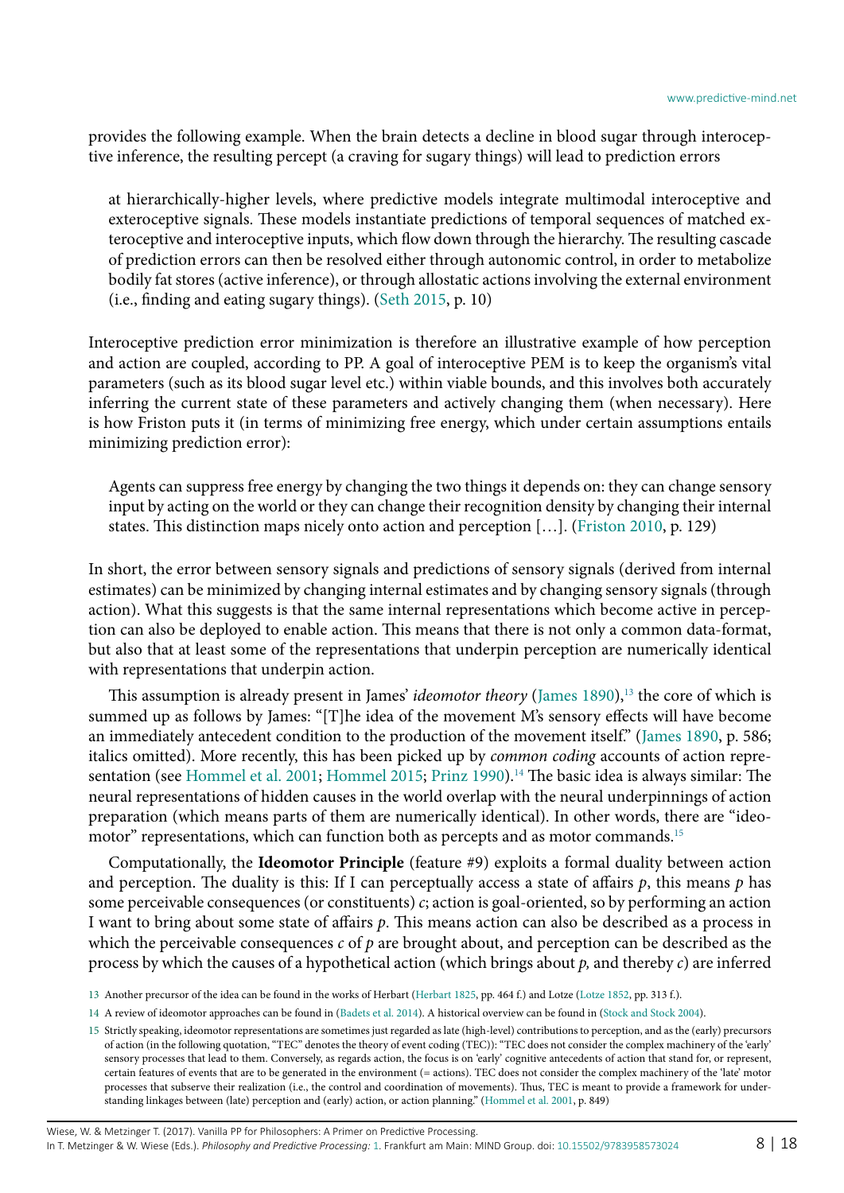provides the following example. When the brain detects a decline in blood sugar through interoceptive inference, the resulting percept (a craving for sugary things) will lead to prediction errors

at hierarchically-higher levels, where predictive models integrate multimodal interoceptive and exteroceptive signals. These models instantiate predictions of temporal sequences of matched exteroceptive and interoceptive inputs, which flow down through the hierarchy. The resulting cascade of prediction errors can then be resolved either through autonomic control, in order to metabolize bodily fat stores (active inference), or through allostatic actions involving the external environment (i.e., finding and eating sugary things). ([Seth 2015,](#page-17-6) p. 10)

Interoceptive prediction error minimization is therefore an illustrative example of how perception and action are coupled, according to PP. A goal of interoceptive PEM is to keep the organism's vital parameters (such as its blood sugar level etc.) within viable bounds, and this involves both accurately inferring the current state of these parameters and actively changing them (when necessary). Here is how Friston puts it (in terms of minimizing free energy, which under certain assumptions entails minimizing prediction error):

Agents can suppress free energy by changing the two things it depends on: they can change sensory input by acting on the world or they can change their recognition density by changing their internal states. This distinction maps nicely onto action and perception […]. [\(Friston 2010](#page-15-17), p. 129)

In short, the error between sensory signals and predictions of sensory signals (derived from internal estimates) can be minimized by changing internal estimates and by changing sensory signals (through action). What this suggests is that the same internal representations which become active in perception can also be deployed to enable action. This means that there is not only a common data-format, but also that at least some of the representations that underpin perception are numerically identical with representations that underpin action.

This assumption is already present in James' *ideomotor theory* [\(James 1890](#page-16-12)),<sup>13</sup> the core of which is summed up as follows by James: "[T]he idea of the movement M's sensory effects will have become an immediately antecedent condition to the production of the movement itself." ([James 1890,](#page-16-12) p. 586; italics omitted). More recently, this has been picked up by *common coding* accounts of action repre-sentation (see [Hommel et al. 2001;](#page-16-13) [Hommel 2015;](#page-16-14) [Prinz 1990\)](#page-17-11).<sup>[14](#page-7-1)</sup> The basic idea is always similar: The neural representations of hidden causes in the world overlap with the neural underpinnings of action preparation (which means parts of them are numerically identical). In other words, there are "ideomotor" representations, which can function both as percepts and as motor commands.[15](#page-7-2)

Computationally, the **Ideomotor Principle** (feature #9) exploits a formal duality between action and perception. The duality is this: If I can perceptually access a state of affairs *p*, this means *p* has some perceivable consequences (or constituents) *c*; action is goal-oriented, so by performing an action I want to bring about some state of affairs *p*. This means action can also be described as a process in which the perceivable consequences *c* of *p* are brought about, and perception can be described as the process by which the causes of a hypothetical action (which brings about *p,* and thereby *c*) are inferred

<span id="page-7-0"></span><sup>13</sup> Another precursor of the idea can be found in the works of Herbart [\(Herbart 1825,](#page-16-15) pp. 464 f.) and Lotze [\(Lotze 1852,](#page-16-16) pp. 313 f.).

<span id="page-7-1"></span><sup>14</sup> A review of ideomotor approaches can be found in ([Badets et al. 2014](#page-14-6)). A historical overview can be found in ([Stock and Stock 2004\)](#page-17-12).

<span id="page-7-2"></span><sup>15</sup> Strictly speaking, ideomotor representations are sometimes just regarded as late (high-level) contributions to perception, and as the (early) precursors of action (in the following quotation, "TEC" denotes the theory of event coding (TEC)): "TEC does not consider the complex machinery of the 'early' sensory processes that lead to them. Conversely, as regards action, the focus is on 'early' cognitive antecedents of action that stand for, or represent, certain features of events that are to be generated in the environment (= actions). TEC does not consider the complex machinery of the 'late' motor processes that subserve their realization (i.e., the control and coordination of movements). Thus, TEC is meant to provide a framework for understanding linkages between (late) perception and (early) action, or action planning." [\(Hommel et al. 2001](#page-16-13), p. 849)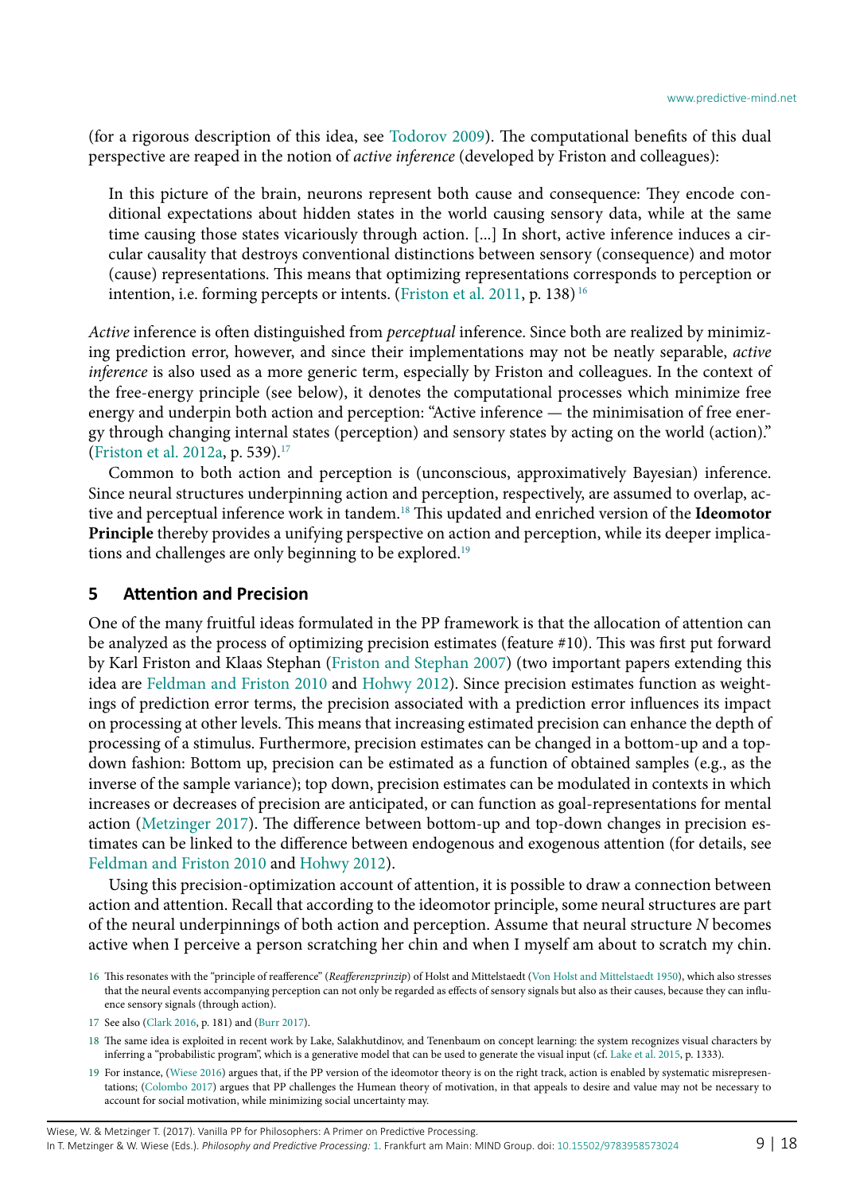(for a rigorous description of this idea, see [Todorov 2009](#page-17-13)). The computational benefits of this dual perspective are reaped in the notion of *active inference* (developed by Friston and colleagues):

In this picture of the brain, neurons represent both cause and consequence: They encode conditional expectations about hidden states in the world causing sensory data, while at the same time causing those states vicariously through action. [...] In short, active inference induces a circular causality that destroys conventional distinctions between sensory (consequence) and motor (cause) representations. This means that optimizing representations corresponds to perception or intention, i.e. forming percepts or intents. ([Friston et al. 2011,](#page-15-18) p. 138) [16](#page-8-0)

*Active* inference is often distinguished from *perceptual* inference. Since both are realized by minimizing prediction error, however, and since their implementations may not be neatly separable, *active inference* is also used as a more generic term, especially by Friston and colleagues. In the context of the free-energy principle (see below), it denotes the computational processes which minimize free energy and underpin both action and perception: "Active inference — the minimisation of free energy through changing internal states (perception) and sensory states by acting on the world (action)." ([Friston et al. 2012a](#page-15-19), p. 539)[.17](#page-8-1)

Common to both action and perception is (unconscious, approximatively Bayesian) inference. Since neural structures underpinning action and perception, respectively, are assumed to overlap, active and perceptual inference work in tandem[.18](#page-8-2) This updated and enriched version of the **Ideomotor Principle** thereby provides a unifying perspective on action and perception, while its deeper implications and challenges are only beginning to be explored.<sup>19</sup>

#### **5 Attention and Precision**

One of the many fruitful ideas formulated in the PP framework is that the allocation of attention can be analyzed as the process of optimizing precision estimates (feature #10). This was first put forward by Karl Friston and Klaas Stephan ([Friston and Stephan 2007\)](#page-15-20) (two important papers extending this idea are [Feldman and Friston 2010](#page-15-21) and [Hohwy 2012\)](#page-16-17). Since precision estimates function as weightings of prediction error terms, the precision associated with a prediction error influences its impact on processing at other levels. This means that increasing estimated precision can enhance the depth of processing of a stimulus. Furthermore, precision estimates can be changed in a bottom-up and a topdown fashion: Bottom up, precision can be estimated as a function of obtained samples (e.g., as the inverse of the sample variance); top down, precision estimates can be modulated in contexts in which increases or decreases of precision are anticipated, or can function as goal-representations for mental action ([Metzinger 2017](#page-16-18)). The difference between bottom-up and top-down changes in precision estimates can be linked to the difference between endogenous and exogenous attention (for details, see [Feldman and Friston 2010](#page-15-21) and [Hohwy 2012](#page-16-17)).

Using this precision-optimization account of attention, it is possible to draw a connection between action and attention. Recall that according to the ideomotor principle, some neural structures are part of the neural underpinnings of both action and perception. Assume that neural structure *N* becomes active when I perceive a person scratching her chin and when I myself am about to scratch my chin.

<span id="page-8-0"></span><sup>16</sup> This resonates with the "principle of reafference" (*Reafferenzprinzip*) of Holst and Mittelstaedt [\(Von Holst and Mittelstaedt 1950](#page-17-14)), which also stresses that the neural events accompanying perception can not only be regarded as effects of sensory signals but also as their causes, because they can influence sensory signals (through action).

<span id="page-8-1"></span><sup>17</sup> See also [\(Clark 2016](#page-15-3), p. 181) and [\(Burr 2017](#page-14-7)).

<span id="page-8-2"></span><sup>18</sup> The same idea is exploited in recent work by Lake, Salakhutdinov, and Tenenbaum on concept learning: the system recognizes visual characters by inferring a "probabilistic program", which is a generative model that can be used to generate the visual input (cf. [Lake et al. 2015,](#page-16-19) p. 1333).

<span id="page-8-3"></span><sup>19</sup> For instance, ([Wiese](#page-17-15) 2016) argues that, if the PP version of the ideomotor theory is on the right track, action is enabled by systematic misrepresentations; [\(Colombo 2017](#page-15-22)) argues that PP challenges the Humean theory of motivation, in that appeals to desire and value may not be necessary to account for social motivation, while minimizing social uncertainty may.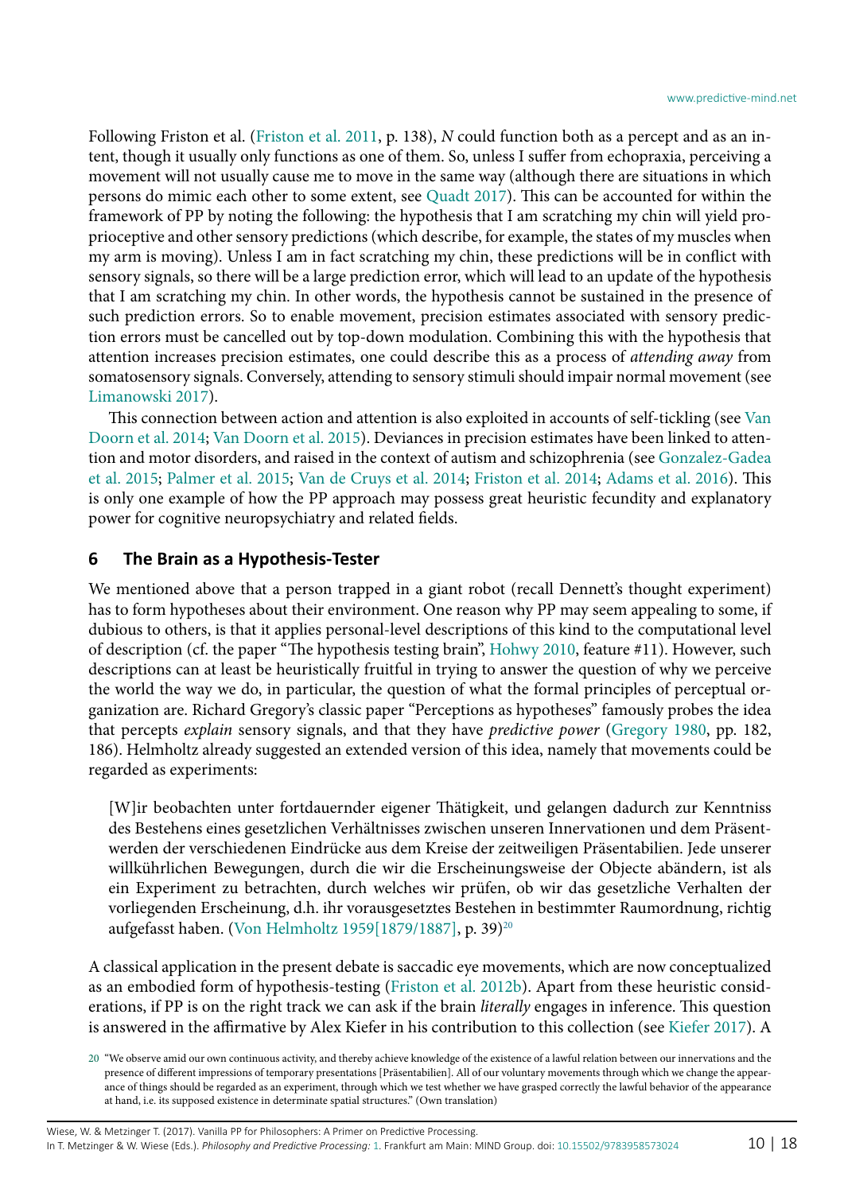Following Friston et al. [\(Friston et al. 2011,](#page-15-18) p. 138), *N* could function both as a percept and as an intent, though it usually only functions as one of them. So, unless I suffer from echopraxia, perceiving a movement will not usually cause me to move in the same way (although there are situations in which persons do mimic each other to some extent, see [Quadt 2017](#page-17-16)). This can be accounted for within the framework of PP by noting the following: the hypothesis that I am scratching my chin will yield proprioceptive and other sensory predictions (which describe, for example, the states of my muscles when my arm is moving). Unless I am in fact scratching my chin, these predictions will be in conflict with sensory signals, so there will be a large prediction error, which will lead to an update of the hypothesis that I am scratching my chin. In other words, the hypothesis cannot be sustained in the presence of such prediction errors. So to enable movement, precision estimates associated with sensory prediction errors must be cancelled out by top-down modulation. Combining this with the hypothesis that attention increases precision estimates, one could describe this as a process of *attending away* from somatosensory signals. Conversely, attending to sensory stimuli should impair normal movement (see [Limanowski 2017](#page-16-20)).

This connection between action and attention is also exploited in accounts of self-tickling (see [Van](#page-17-17) [Doorn et al. 2014;](#page-17-17) [Van Doorn et al. 2015](#page-17-18)). Deviances in precision estimates have been linked to attention and motor disorders, and raised in the context of autism and schizophrenia (see [Gonzalez-Gadea](#page-16-21) [et al. 2015;](#page-16-21) [Palmer et al. 2015](#page-16-22); [Van de Cruys et al. 2014;](#page-17-19) [Friston et al. 2014](#page-16-23); [Adams et al. 2016\)](#page-14-8). This is only one example of how the PP approach may possess great heuristic fecundity and explanatory power for cognitive neuropsychiatry and related fields.

### **6 The Brain as a Hypothesis-Tester**

We mentioned above that a person trapped in a giant robot (recall Dennett's thought experiment) has to form hypotheses about their environment. One reason why PP may seem appealing to some, if dubious to others, is that it applies personal-level descriptions of this kind to the computational level of description (cf. the paper "The hypothesis testing brain", [Hohwy 2010](#page-16-24), feature #11). However, such descriptions can at least be heuristically fruitful in trying to answer the question of why we perceive the world the way we do, in particular, the question of what the formal principles of perceptual organization are. Richard Gregory's classic paper "Perceptions as hypotheses" famously probes the idea that percepts *explain* sensory signals, and that they have *predictive power* [\(Gregory 1980](#page-16-25), pp. 182, 186). Helmholtz already suggested an extended version of this idea, namely that movements could be regarded as experiments:

[W]ir beobachten unter fortdauernder eigener Thätigkeit, und gelangen dadurch zur Kenntniss des Bestehens eines gesetzlichen Verhältnisses zwischen unseren Innervationen und dem Präsentwerden der verschiedenen Eindrücke aus dem Kreise der zeitweiligen Präsentabilien. Jede unserer willkührlichen Bewegungen, durch die wir die Erscheinungsweise der Objecte abändern, ist als ein Experiment zu betrachten, durch welches wir prüfen, ob wir das gesetzliche Verhalten der vorliegenden Erscheinung, d.h. ihr vorausgesetztes Bestehen in bestimmter Raumordnung, richtig aufgefasst haben. ([Von Helmholtz 1959\[1879/1887\]](#page-17-20), p. 39[\)20](#page-9-0)

A classical application in the present debate is saccadic eye movements, which are now conceptualized as an embodied form of hypothesis-testing ([Friston et al. 2012](#page-15-23)b). Apart from these heuristic considerations, if PP is on the right track we can ask if the brain *literally* engages in inference. This question is answered in the affirmative by Alex Kiefer in his contribution to this collection (see [Kiefer 2017](#page-16-26)). A

<span id="page-9-0"></span><sup>20</sup> "We observe amid our own continuous activity, and thereby achieve knowledge of the existence of a lawful relation between our innervations and the presence of different impressions of temporary presentations [Präsentabilien]. All of our voluntary movements through which we change the appearance of things should be regarded as an experiment, through which we test whether we have grasped correctly the lawful behavior of the appearance at hand, i.e. its supposed existence in determinate spatial structures." (Own translation)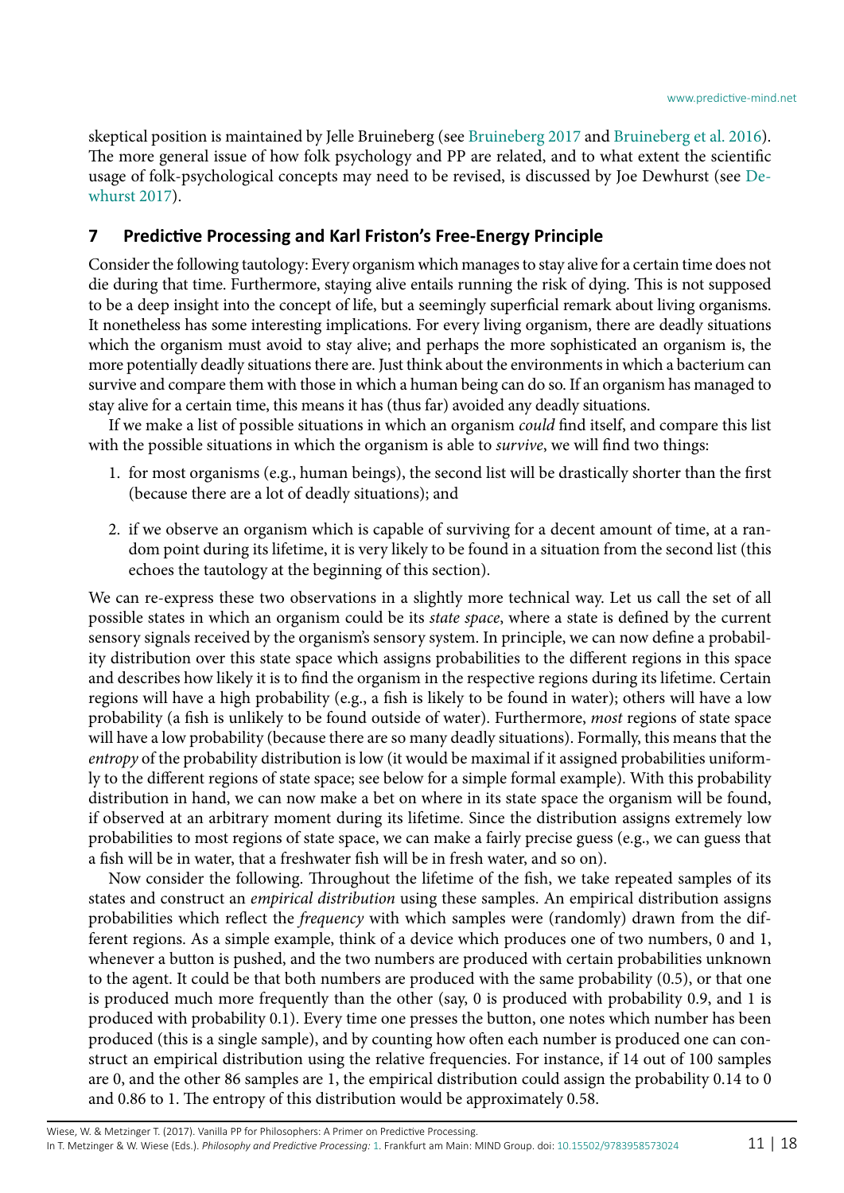skeptical position is maintained by Jelle Bruineberg (see [Bruineberg 2017](#page-14-9) and [Bruineberg et al. 2016](#page-14-10)). The more general issue of how folk psychology and PP are related, and to what extent the scientific usage of folk-psychological concepts may need to be revised, is discussed by Joe Dewhurst (see [De](#page-15-24)[whurst 2017](#page-15-24)).

#### <span id="page-10-0"></span>**7 Predictive Processing and Karl Friston's Free-Energy Principle**

Consider the following tautology: Every organism which manages to stay alive for a certain time does not die during that time. Furthermore, staying alive entails running the risk of dying. This is not supposed to be a deep insight into the concept of life, but a seemingly superficial remark about living organisms. It nonetheless has some interesting implications. For every living organism, there are deadly situations which the organism must avoid to stay alive; and perhaps the more sophisticated an organism is, the more potentially deadly situations there are. Just think about the environments in which a bacterium can survive and compare them with those in which a human being can do so. If an organism has managed to stay alive for a certain time, this means it has (thus far) avoided any deadly situations.

If we make a list of possible situations in which an organism *could* find itself, and compare this list with the possible situations in which the organism is able to *survive*, we will find two things:

- 1. for most organisms (e.g., human beings), the second list will be drastically shorter than the first (because there are a lot of deadly situations); and
- 2. if we observe an organism which is capable of surviving for a decent amount of time, at a random point during its lifetime, it is very likely to be found in a situation from the second list (this echoes the tautology at the beginning of this section).

We can re-express these two observations in a slightly more technical way. Let us call the set of all possible states in which an organism could be its *state space*, where a state is defined by the current sensory signals received by the organism's sensory system. In principle, we can now define a probability distribution over this state space which assigns probabilities to the different regions in this space and describes how likely it is to find the organism in the respective regions during its lifetime. Certain regions will have a high probability (e.g., a fish is likely to be found in water); others will have a low probability (a fish is unlikely to be found outside of water). Furthermore, *most* regions of state space will have a low probability (because there are so many deadly situations). Formally, this means that the *entropy* of the probability distribution is low (it would be maximal if it assigned probabilities uniformly to the different regions of state space; see below for a simple formal example). With this probability distribution in hand, we can now make a bet on where in its state space the organism will be found, if observed at an arbitrary moment during its lifetime. Since the distribution assigns extremely low probabilities to most regions of state space, we can make a fairly precise guess (e.g., we can guess that a fish will be in water, that a freshwater fish will be in fresh water, and so on).

Now consider the following. Throughout the lifetime of the fish, we take repeated samples of its states and construct an *empirical distribution* using these samples. An empirical distribution assigns probabilities which reflect the *frequency* with which samples were (randomly) drawn from the different regions. As a simple example, think of a device which produces one of two numbers, 0 and 1, whenever a button is pushed, and the two numbers are produced with certain probabilities unknown to the agent. It could be that both numbers are produced with the same probability (0.5), or that one is produced much more frequently than the other (say, 0 is produced with probability 0.9, and 1 is produced with probability 0.1). Every time one presses the button, one notes which number has been produced (this is a single sample), and by counting how often each number is produced one can construct an empirical distribution using the relative frequencies. For instance, if 14 out of 100 samples are 0, and the other 86 samples are 1, the empirical distribution could assign the probability 0.14 to 0 and 0.86 to 1. The entropy of this distribution would be approximately 0.58.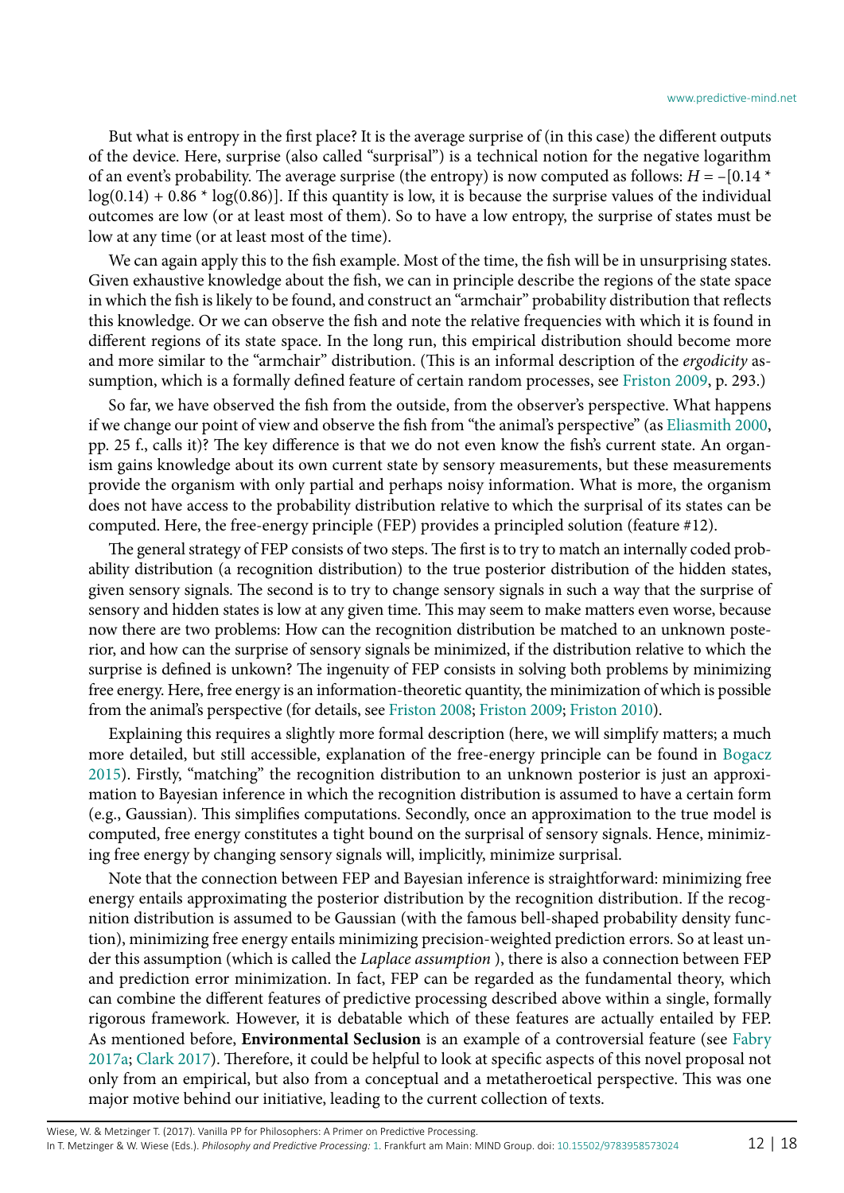But what is entropy in the first place? It is the average surprise of (in this case) the different outputs of the device. Here, surprise (also called "surprisal") is a technical notion for the negative logarithm of an event's probability. The average surprise (the entropy) is now computed as follows: *H* = –[0.14 \*  $log(0.14) + 0.86 * log(0.86)$ . If this quantity is low, it is because the surprise values of the individual outcomes are low (or at least most of them). So to have a low entropy, the surprise of states must be low at any time (or at least most of the time).

We can again apply this to the fish example. Most of the time, the fish will be in unsurprising states. Given exhaustive knowledge about the fish, we can in principle describe the regions of the state space in which the fish is likely to be found, and construct an "armchair" probability distribution that reflects this knowledge. Or we can observe the fish and note the relative frequencies with which it is found in different regions of its state space. In the long run, this empirical distribution should become more and more similar to the "armchair" distribution. (This is an informal description of the *ergodicity* assumption, which is a formally defined feature of certain random processes, see [Friston 2009](#page-15-25), p. 293.)

So far, we have observed the fish from the outside, from the observer's perspective. What happens if we change our point of view and observe the fish from "the animal's perspective" (as [Eliasmith 2000,](#page-15-26) pp. 25 f., calls it)? The key difference is that we do not even know the fish's current state. An organism gains knowledge about its own current state by sensory measurements, but these measurements provide the organism with only partial and perhaps noisy information. What is more, the organism does not have access to the probability distribution relative to which the surprisal of its states can be computed. Here, the free-energy principle (FEP) provides a principled solution (feature #12).

The general strategy of FEP consists of two steps. The first is to try to match an internally coded probability distribution (a recognition distribution) to the true posterior distribution of the hidden states, given sensory signals. The second is to try to change sensory signals in such a way that the surprise of sensory and hidden states is low at any given time. This may seem to make matters even worse, because now there are two problems: How can the recognition distribution be matched to an unknown posterior, and how can the surprise of sensory signals be minimized, if the distribution relative to which the surprise is defined is unkown? The ingenuity of FEP consists in solving both problems by minimizing free energy. Here, free energy is an information-theoretic quantity, the minimization of which is possible from the animal's perspective (for details, see [Friston 2008;](#page-15-27) [Friston 2009;](#page-15-25) [Friston 2010\)](#page-15-17).

Explaining this requires a slightly more formal description (here, we will simplify matters; a much more detailed, but still accessible, explanation of the free-energy principle can be found in [Bogacz](#page-14-11) [2015](#page-14-11)). Firstly, "matching" the recognition distribution to an unknown posterior is just an approximation to Bayesian inference in which the recognition distribution is assumed to have a certain form (e.g., Gaussian). This simplifies computations. Secondly, once an approximation to the true model is computed, free energy constitutes a tight bound on the surprisal of sensory signals. Hence, minimizing free energy by changing sensory signals will, implicitly, minimize surprisal.

Note that the connection between FEP and Bayesian inference is straightforward: minimizing free energy entails approximating the posterior distribution by the recognition distribution. If the recognition distribution is assumed to be Gaussian (with the famous bell-shaped probability density function), minimizing free energy entails minimizing precision-weighted prediction errors. So at least under this assumption (which is called the *Laplace assumption* ), there is also a connection between FEP and prediction error minimization. In fact, FEP can be regarded as the fundamental theory, which can combine the different features of predictive processing described above within a single, formally rigorous framework. However, it is debatable which of these features are actually entailed by FEP. As mentioned before, **Environmental Seclusion** is an example of a controversial feature (see [Fabry](#page-15-1) [2017](#page-15-1)a; [Clark 2017\)](#page-15-0). Therefore, it could be helpful to look at specific aspects of this novel proposal not only from an empirical, but also from a conceptual and a metatheroetical perspective. This was one major motive behind our initiative, leading to the current collection of texts.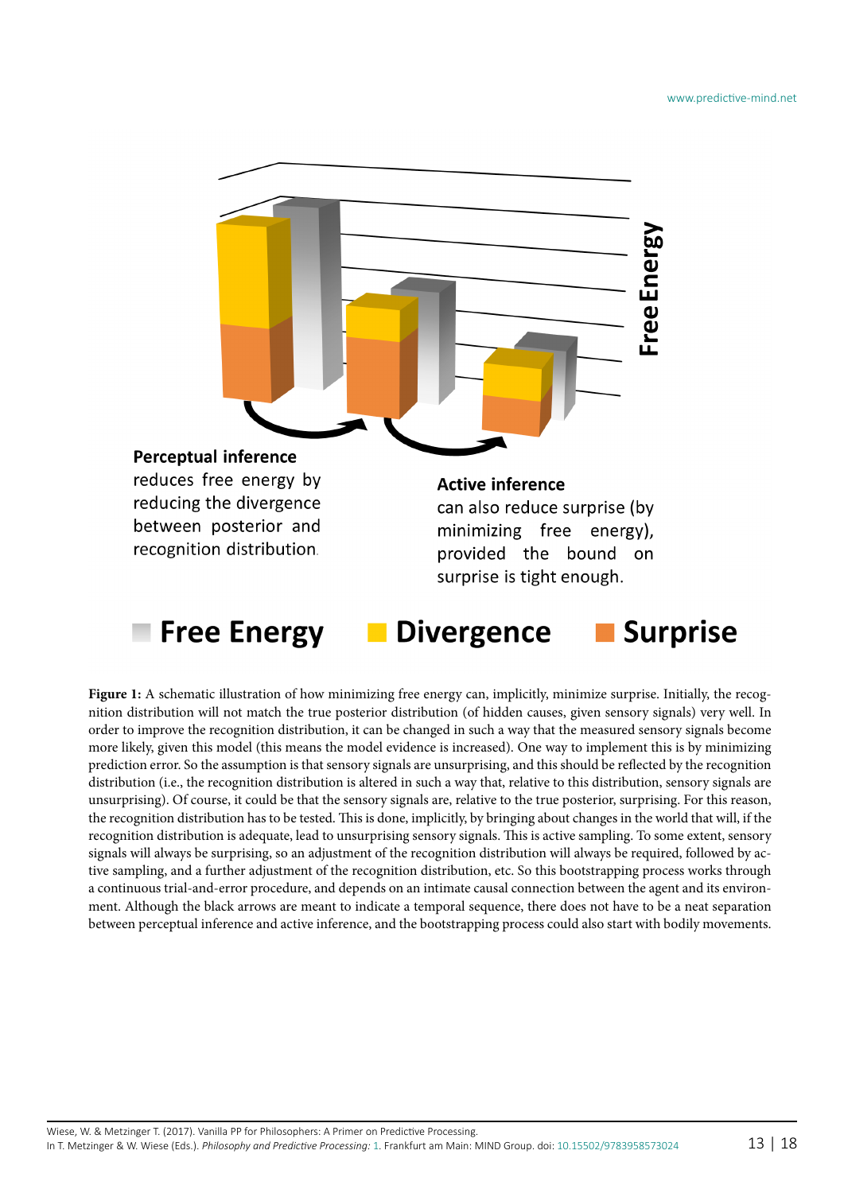

Figure 1: A schematic illustration of how minimizing free energy can, implicitly, minimize surprise. Initially, the recognition distribution will not match the true posterior distribution (of hidden causes, given sensory signals) very well. In order to improve the recognition distribution, it can be changed in such a way that the measured sensory signals become more likely, given this model (this means the model evidence is increased). One way to implement this is by minimizing prediction error. So the assumption is that sensory signals are unsurprising, and this should be reflected by the recognition distribution (i.e., the recognition distribution is altered in such a way that, relative to this distribution, sensory signals are unsurprising). Of course, it could be that the sensory signals are, relative to the true posterior, surprising. For this reason, the recognition distribution has to be tested. This is done, implicitly, by bringing about changes in the world that will, if the recognition distribution is adequate, lead to unsurprising sensory signals. This is active sampling. To some extent, sensory signals will always be surprising, so an adjustment of the recognition distribution will always be required, followed by active sampling, and a further adjustment of the recognition distribution, etc. So this bootstrapping process works through a continuous trial-and-error procedure, and depends on an intimate causal connection between the agent and its environment. Although the black arrows are meant to indicate a temporal sequence, there does not have to be a neat separation between perceptual inference and active inference, and the bootstrapping process could also start with bodily movements.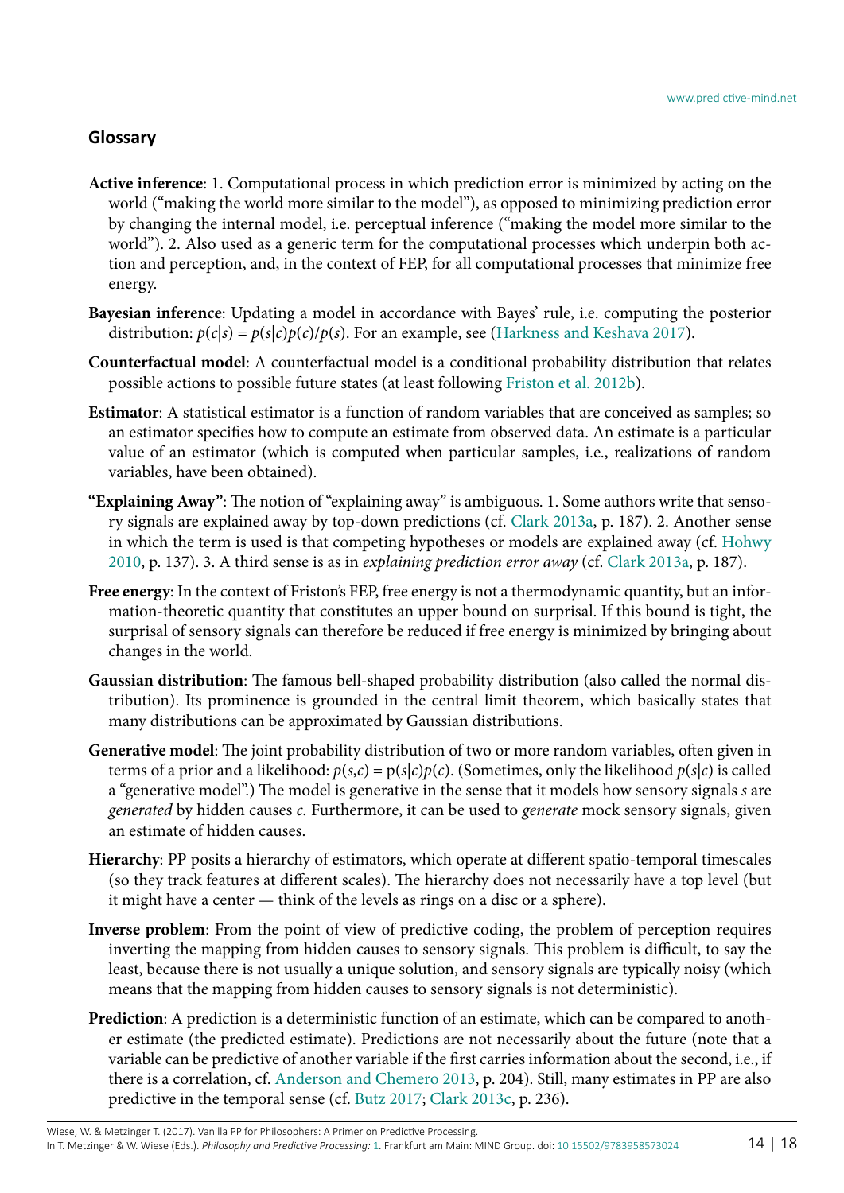#### **Glossary**

- **Active inference**: 1. Computational process in which prediction error is minimized by acting on the world ("making the world more similar to the model"), as opposed to minimizing prediction error by changing the internal model, i.e. perceptual inference ("making the model more similar to the world"). 2. Also used as a generic term for the computational processes which underpin both action and perception, and, in the context of FEP, for all computational processes that minimize free energy.
- **Bayesian inference**: Updating a model in accordance with Bayes' rule, i.e. computing the posterior distribution:  $p(c|s) = p(s|c)p(c)/p(s)$ . For an example, see [\(Harkness and Keshava 2017\)](#page-16-27).
- **Counterfactual model**: A counterfactual model is a conditional probability distribution that relates possible actions to possible future states (at least following [Friston et al. 2012](#page-15-23)b).
- **Estimator**: A statistical estimator is a function of random variables that are conceived as samples; so an estimator specifies how to compute an estimate from observed data. An estimate is a particular value of an estimator (which is computed when particular samples, i.e., realizations of random variables, have been obtained).
- **"Explaining Away"**: The notion of "explaining away" is ambiguous. 1. Some authors write that sensory signals are explained away by top-down predictions (cf. [Clark 2013](#page-14-4)a, p. 187). 2. Another sense in which the term is used is that competing hypotheses or models are explained away (cf. [Hohwy](#page-16-24) [2010,](#page-16-24) p. 137). 3. A third sense is as in *explaining prediction error away* (cf. [Clark 2013a](#page-14-4), p. 187).
- **Free energy**: In the context of Friston's FEP, free energy is not a thermodynamic quantity, but an information-theoretic quantity that constitutes an upper bound on surprisal. If this bound is tight, the surprisal of sensory signals can therefore be reduced if free energy is minimized by bringing about changes in the world.
- **Gaussian distribution**: The famous bell-shaped probability distribution (also called the normal distribution). Its prominence is grounded in the central limit theorem, which basically states that many distributions can be approximated by Gaussian distributions.
- **Generative model**: The joint probability distribution of two or more random variables, often given in terms of a prior and a likelihood:  $p(s,c) = p(s|c)p(c)$ . (Sometimes, only the likelihood  $p(s|c)$  is called a "generative model".) The model is generative in the sense that it models how sensory signals *s* are *generated* by hidden causes *c.* Furthermore, it can be used to *generate* mock sensory signals, given an estimate of hidden causes.
- **Hierarchy**: PP posits a hierarchy of estimators, which operate at different spatio-temporal timescales (so they track features at different scales). The hierarchy does not necessarily have a top level (but it might have a center — think of the levels as rings on a disc or a sphere).
- **Inverse problem**: From the point of view of predictive coding, the problem of perception requires inverting the mapping from hidden causes to sensory signals. This problem is difficult, to say the least, because there is not usually a unique solution, and sensory signals are typically noisy (which means that the mapping from hidden causes to sensory signals is not deterministic).
- **Prediction**: A prediction is a deterministic function of an estimate, which can be compared to another estimate (the predicted estimate). Predictions are not necessarily about the future (note that a variable can be predictive of another variable if the first carries information about the second, i.e., if there is a correlation, cf. [Anderson and Chemero 2013](#page-14-12), p. 204). Still, many estimates in PP are also predictive in the temporal sense (cf. [Butz 2017;](#page-14-13) [Clark 2013c](#page-14-14), p. 236).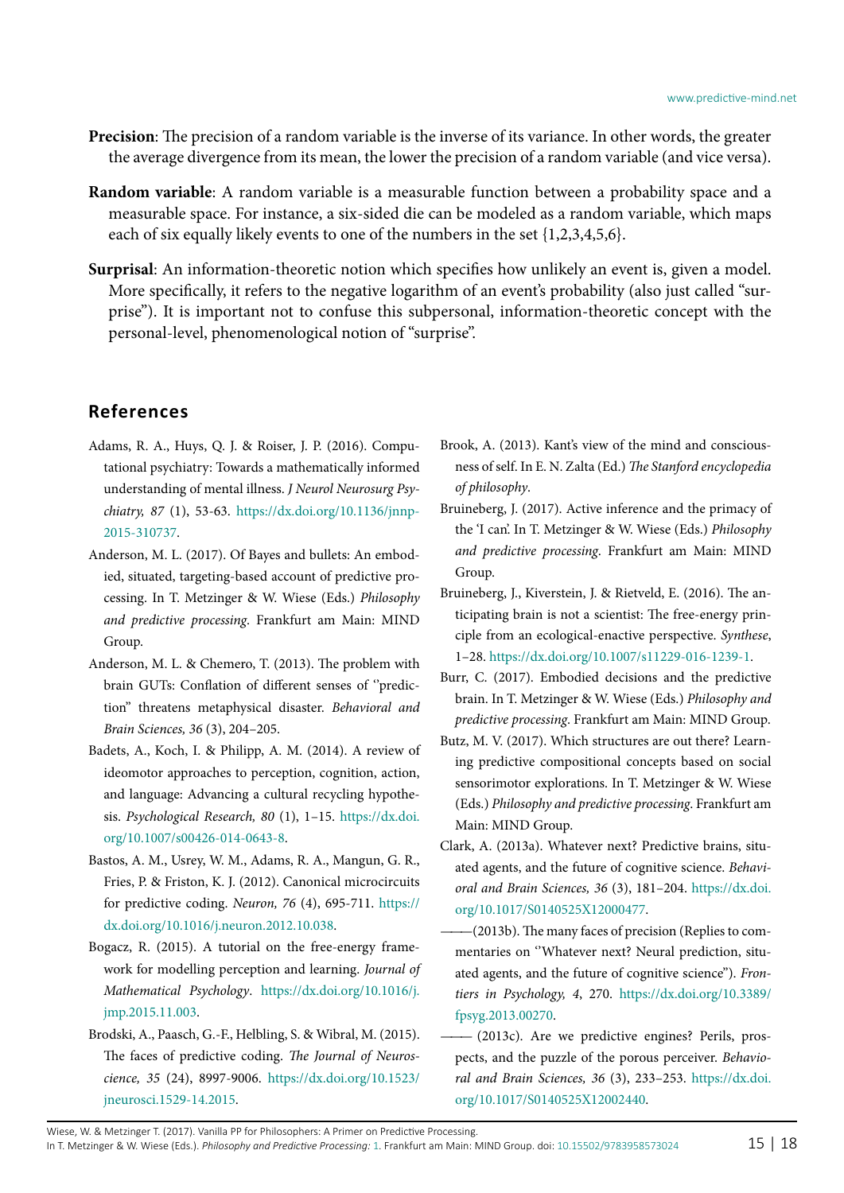- **Precision**: The precision of a random variable is the inverse of its variance. In other words, the greater the average divergence from its mean, the lower the precision of a random variable (and vice versa).
- **Random variable**: A random variable is a measurable function between a probability space and a measurable space. For instance, a six-sided die can be modeled as a random variable, which maps each of six equally likely events to one of the numbers in the set  $\{1,2,3,4,5,6\}.$
- **Surprisal**: An information-theoretic notion which specifies how unlikely an event is, given a model. More specifically, it refers to the negative logarithm of an event's probability (also just called "surprise"). It is important not to confuse this subpersonal, information-theoretic concept with the personal-level, phenomenological notion of "surprise".

## **References**

- <span id="page-14-8"></span>Adams, R. A., Huys, Q. J. & Roiser, J. P. (2016). Computational psychiatry: Towards a mathematically informed understanding of mental illness. *J Neurol Neurosurg Psychiatry, 87* (1), 53-63. [https://dx.doi.org/10.1136/jnnp-](https://dx.doi.org/10.1136/jnnp-2015-310737)[2015-310737.](https://dx.doi.org/10.1136/jnnp-2015-310737)
- <span id="page-14-0"></span>Anderson, M. L. (2017). Of Bayes and bullets: An embodied, situated, targeting-based account of predictive processing. In T. Metzinger & W. Wiese (Eds.) *Philosophy and predictive processing*. Frankfurt am Main: MIND Group.
- <span id="page-14-12"></span>Anderson, M. L. & Chemero, T. (2013). The problem with brain GUTs: Conflation of different senses of "prediction'' threatens metaphysical disaster. *Behavioral and Brain Sciences, 36* (3), 204–205.
- <span id="page-14-6"></span>Badets, A., Koch, I. & Philipp, A. M. (2014). A review of ideomotor approaches to perception, cognition, action, and language: Advancing a cultural recycling hypothesis. *Psychological Research, 80* (1), 1–15[. https://dx.doi.](https://dx.doi.org/10.1007/s00426-014-0643-8) [org/10.1007/s00426-014-0643-8.](https://dx.doi.org/10.1007/s00426-014-0643-8)
- <span id="page-14-1"></span>Bastos, A. M., Usrey, W. M., Adams, R. A., Mangun, G. R., Fries, P. & Friston, K. J. (2012). Canonical microcircuits for predictive coding. *Neuron, 76* (4), 695-711[. https://](https://dx.doi.org/10.1016/j.neuron.2012.10.038) [dx.doi.org/10.1016/j.neuron.2012.10.038.](https://dx.doi.org/10.1016/j.neuron.2012.10.038)
- <span id="page-14-11"></span>Bogacz, R. (2015). A tutorial on the free-energy framework for modelling perception and learning. *Journal of Mathematical Psychology*[. https://dx.doi.org/10.1016/j.](https://dx.doi.org/10.1016/j.jmp.2015.11.003) [jmp.2015.11.003.](https://dx.doi.org/10.1016/j.jmp.2015.11.003)
- <span id="page-14-2"></span>Brodski, A., Paasch, G.-F., Helbling, S. & Wibral, M. (2015). The faces of predictive coding. *The Journal of Neuroscience, 35* (24), 8997-9006. [https://dx.doi.org/10.1523/](https://dx.doi.org/10.1523/jneurosci.1529-14.2015) [jneurosci.1529-14.2015.](https://dx.doi.org/10.1523/jneurosci.1529-14.2015)
- <span id="page-14-3"></span>Brook, A. (2013). Kant's view of the mind and consciousness of self. In E. N. Zalta (Ed.) *The Stanford encyclopedia of philosophy*.
- <span id="page-14-9"></span>Bruineberg, J. (2017). Active inference and the primacy of the 'I can'. In T. Metzinger & W. Wiese (Eds.) *Philosophy and predictive processing*. Frankfurt am Main: MIND Group.
- <span id="page-14-10"></span>Bruineberg, J., Kiverstein, J. & Rietveld, E. (2016). The anticipating brain is not a scientist: The free-energy principle from an ecological-enactive perspective. *Synthese*, 1–28[. https://dx.doi.org/10.1007/s11229-016-1239-1.](https://dx.doi.org/10.1007/s11229-016-1239-1)
- <span id="page-14-7"></span>Burr, C. (2017). Embodied decisions and the predictive brain. In T. Metzinger & W. Wiese (Eds.) *Philosophy and predictive processing*. Frankfurt am Main: MIND Group.
- <span id="page-14-13"></span>Butz, M. V. (2017). Which structures are out there? Learning predictive compositional concepts based on social sensorimotor explorations. In T. Metzinger & W. Wiese (Eds.) *Philosophy and predictive processing*. Frankfurt am Main: MIND Group.
- <span id="page-14-4"></span>Clark, A. (2013a). Whatever next? Predictive brains, situated agents, and the future of cognitive science. *Behavioral and Brain Sciences, 36* (3), 181–204. [https://dx.doi.](https://dx.doi.org/10.1017/S0140525X12000477) [org/10.1017/S0140525X12000477.](https://dx.doi.org/10.1017/S0140525X12000477)
- <span id="page-14-5"></span> $-(2013b)$ . The many faces of precision (Replies to commentaries on ''Whatever next? Neural prediction, situated agents, and the future of cognitive science''). *Frontiers in Psychology, 4*, 270[. https://dx.doi.org/10.3389/](https://dx.doi.org/10.3389/fpsyg.2013.00270) [fpsyg.2013.00270.](https://dx.doi.org/10.3389/fpsyg.2013.00270)
- <span id="page-14-14"></span> $-$  (2013c). Are we predictive engines? Perils, prospects, and the puzzle of the porous perceiver. *Behavioral and Brain Sciences, 36* (3), 233–253. [https://dx.doi.](https://dx.doi.org/10.1017/S0140525X12002440) [org/10.1017/S0140525X12002440.](https://dx.doi.org/10.1017/S0140525X12002440)

Wiese, W. & Metzinger T. (2017). Vanilla PP for Philosophers: A Primer on Predictive Processing. In T. Metzinger & W. Wiese (Eds.). *Philosophy and Predictive Processing:* [1](http://predictive-mind.net/papers/@@chapters?nr=1). Frankfurt am Main: MIND Group. doi: [10.15502/9783958573024](http://dx.doi.org/10.15502/9783958573024) 15 | 18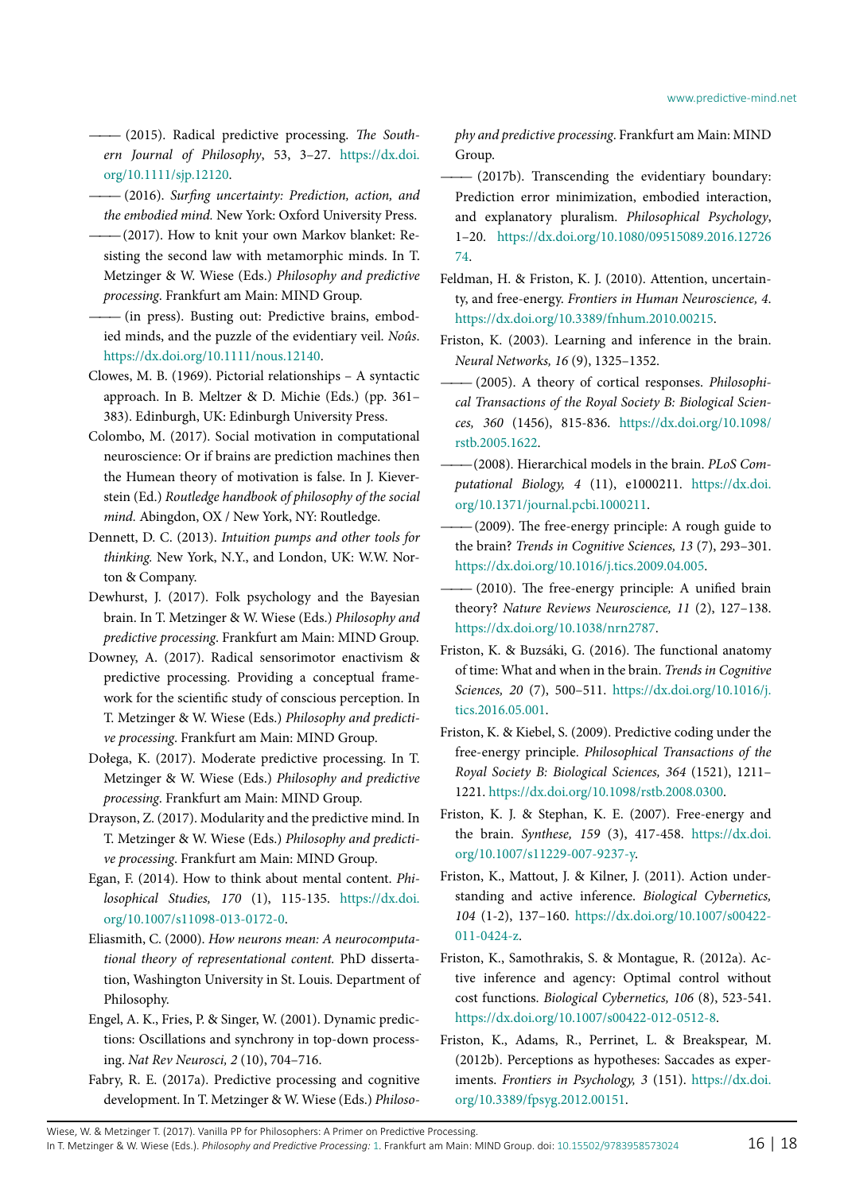<span id="page-15-12"></span>*———* (2015). Radical predictive processing. *The Southern Journal of Philosophy*, 53, 3–27. https://dx.doi. org/10.1111/sjp.12120.

<span id="page-15-3"></span>*———* (2016). *Surfing uncertainty: Prediction, action, and the embodied mind.* New York: Oxford University Press.

- <span id="page-15-0"></span>*———*(2017). How to knit your own Markov blanket: Resisting the second law with metamorphic minds. In T. Metzinger & W. Wiese (Eds.) *Philosophy and predictive processing*. Frankfurt am Main: MIND Group.
- <span id="page-15-14"></span>*———* (in press). Busting out: Predictive brains, embodied minds, and the puzzle of the evidentiary veil. *Noûs*. [https://dx.doi.org/10.1111/nous.12140.](https://dx.doi.org/10.1111/nous.12140)
- <span id="page-15-10"></span>Clowes, M. B. (1969). Pictorial relationships – A syntactic approach. In B. Meltzer & D. Michie (Eds.) (pp. 361– 383). Edinburgh, UK: Edinburgh University Press.
- <span id="page-15-22"></span>Colombo, M. (2017). Social motivation in computational neuroscience: Or if brains are prediction machines then the Humean theory of motivation is false. In J. Kieverstein (Ed.) *Routledge handbook of philosophy of the social mind.* Abingdon, OX / New York, NY: Routledge.
- <span id="page-15-11"></span>Dennett, D. C. (2013). *Intuition pumps and other tools for thinking.* New York, N.Y., and London, UK: W.W. Norton & Company.
- <span id="page-15-24"></span>Dewhurst, J. (2017). Folk psychology and the Bayesian brain. In T. Metzinger & W. Wiese (Eds.) *Philosophy and predictive processing*. Frankfurt am Main: MIND Group.
- <span id="page-15-6"></span>Downey, A. (2017). Radical sensorimotor enactivism & predictive processing. Providing a conceptual framework for the scientific study of conscious perception. In T. Metzinger & W. Wiese (Eds.) *Philosophy and predictive processing*. Frankfurt am Main: MIND Group.
- <span id="page-15-7"></span>Dołega, K. (2017). Moderate predictive processing. In T. Metzinger & W. Wiese (Eds.) *Philosophy and predictive processing*. Frankfurt am Main: MIND Group.
- <span id="page-15-9"></span>Drayson, Z. (2017). Modularity and the predictive mind. In T. Metzinger & W. Wiese (Eds.) *Philosophy and predictive processing*. Frankfurt am Main: MIND Group.
- <span id="page-15-8"></span>Egan, F. (2014). How to think about mental content. *Philosophical Studies, 170* (1), 115-135. [https://dx.doi.](https://dx.doi.org/10.1007/s11098-013-0172-0) [org/10.1007/s11098-013-0172-0.](https://dx.doi.org/10.1007/s11098-013-0172-0)
- <span id="page-15-26"></span>Eliasmith, C. (2000). *How neurons mean: A neurocomputational theory of representational content.* PhD dissertation, Washington University in St. Louis. Department of Philosophy.
- <span id="page-15-4"></span>Engel, A. K., Fries, P. & Singer, W. (2001). Dynamic predictions: Oscillations and synchrony in top-down processing. *Nat Rev Neurosci, 2* (10), 704–716.
- <span id="page-15-1"></span>Fabry, R. E. (2017a). Predictive processing and cognitive development. In T. Metzinger & W. Wiese (Eds.) *Philoso-*

*phy and predictive processing*. Frankfurt am Main: MIND Group.

- <span id="page-15-2"></span> $-$  (2017b). Transcending the evidentiary boundary: Prediction error minimization, embodied interaction, and explanatory pluralism. *Philosophical Psychology*, 1–20[. https://dx.doi.org/10.1080/09515089.2016.12726](https://dx.doi.org/10.1080/09515089.2016.1272674) [74.](https://dx.doi.org/10.1080/09515089.2016.1272674)
- <span id="page-15-21"></span>Feldman, H. & Friston, K. J. (2010). Attention, uncertainty, and free-energy. *Frontiers in Human Neuroscience, 4*. [https://dx.doi.org/10.3389/fnhum.2010.00215.](https://dx.doi.org/10.3389/fnhum.2010.00215)
- <span id="page-15-15"></span>Friston, K. (2003). Learning and inference in the brain. *Neural Networks, 16* (9), 1325–1352.
- <span id="page-15-5"></span> $-$  (2005). A theory of cortical responses. *Philosophical Transactions of the Royal Society B: Biological Sciences, 360* (1456), 815-836. [https://dx.doi.org/10.1098/](https://dx.doi.org/10.1098/rstb.2005.1622) [rstb.2005.1622.](https://dx.doi.org/10.1098/rstb.2005.1622)
- <span id="page-15-27"></span> $-(2008)$ . Hierarchical models in the brain. *PLoS Computational Biology, 4* (11), e1000211. [https://dx.doi.](https://dx.doi.org/10.1371/journal.pcbi.1000211) [org/10.1371/journal.pcbi.1000211.](https://dx.doi.org/10.1371/journal.pcbi.1000211)
- <span id="page-15-25"></span> $-(2009)$ . The free-energy principle: A rough guide to the brain? *Trends in Cognitive Sciences, 13* (7), 293–301. [https://dx.doi.org/10.1016/j.tics.2009.04.005.](https://dx.doi.org/10.1016/j.tics.2009.04.005)
- <span id="page-15-17"></span> $-$  (2010). The free-energy principle: A unified brain theory? *Nature Reviews Neuroscience, 11* (2), 127–138. [https://dx.doi.org/10.1038/nrn2787.](https://dx.doi.org/10.1038/nrn2787)
- <span id="page-15-16"></span>Friston, K. & Buzsáki, G. (2016). The functional anatomy of time: What and when in the brain. *Trends in Cognitive Sciences, 20* (7), 500–511. [https://dx.doi.org/10.1016/j.](https://dx.doi.org/10.1016/j.tics.2016.05.001) [tics.2016.05.001.](https://dx.doi.org/10.1016/j.tics.2016.05.001)
- <span id="page-15-13"></span>Friston, K. & Kiebel, S. (2009). Predictive coding under the free-energy principle. *Philosophical Transactions of the Royal Society B: Biological Sciences, 364* (1521), 1211– 1221. [https://dx.doi.org/10.1098/rstb.2008.0300.](https://dx.doi.org/10.1098/rstb.2008.0300)
- <span id="page-15-20"></span>Friston, K. J. & Stephan, K. E. (2007). Free-energy and the brain. *Synthese, 159* (3), 417-458. [https://dx.doi.](https://dx.doi.org/10.1007/s11229-007-9237-y) [org/10.1007/s11229-007-9237-y.](https://dx.doi.org/10.1007/s11229-007-9237-y)
- <span id="page-15-18"></span>Friston, K., Mattout, J. & Kilner, J. (2011). Action understanding and active inference. *Biological Cybernetics, 104* (1-2), 137–160. [https://dx.doi.org/10.1007/s00422-](https://dx.doi.org/10.1007/s00422-011-0424-z) [011-0424-z.](https://dx.doi.org/10.1007/s00422-011-0424-z)
- <span id="page-15-19"></span>Friston, K., Samothrakis, S. & Montague, R. (2012a). Active inference and agency: Optimal control without cost functions. *Biological Cybernetics, 106* (8), 523-541. [https://dx.doi.org/10.1007/s00422-012-0512-8.](https://dx.doi.org/10.1007/s00422-012-0512-8)
- <span id="page-15-23"></span>Friston, K., Adams, R., Perrinet, L. & Breakspear, M. (2012b). Perceptions as hypotheses: Saccades as experiments. *Frontiers in Psychology, 3* (151)[. https://dx.doi.](https://dx.doi.org/10.3389/fpsyg.2012.00151) [org/10.3389/fpsyg.2012.00151.](https://dx.doi.org/10.3389/fpsyg.2012.00151)

Wiese, W. & Metzinger T. (2017). Vanilla PP for Philosophers: A Primer on Predictive Processing.

In T. Metzinger & W. Wiese (Eds.). *Philosophy and Predictive Processing:* [1](http://predictive-mind.net/papers/@@chapters?nr=1). Frankfurt am Main: MIND Group. doi: [10.15502/9783958573024](http://dx.doi.org/10.15502/9783958573024) 16 | 18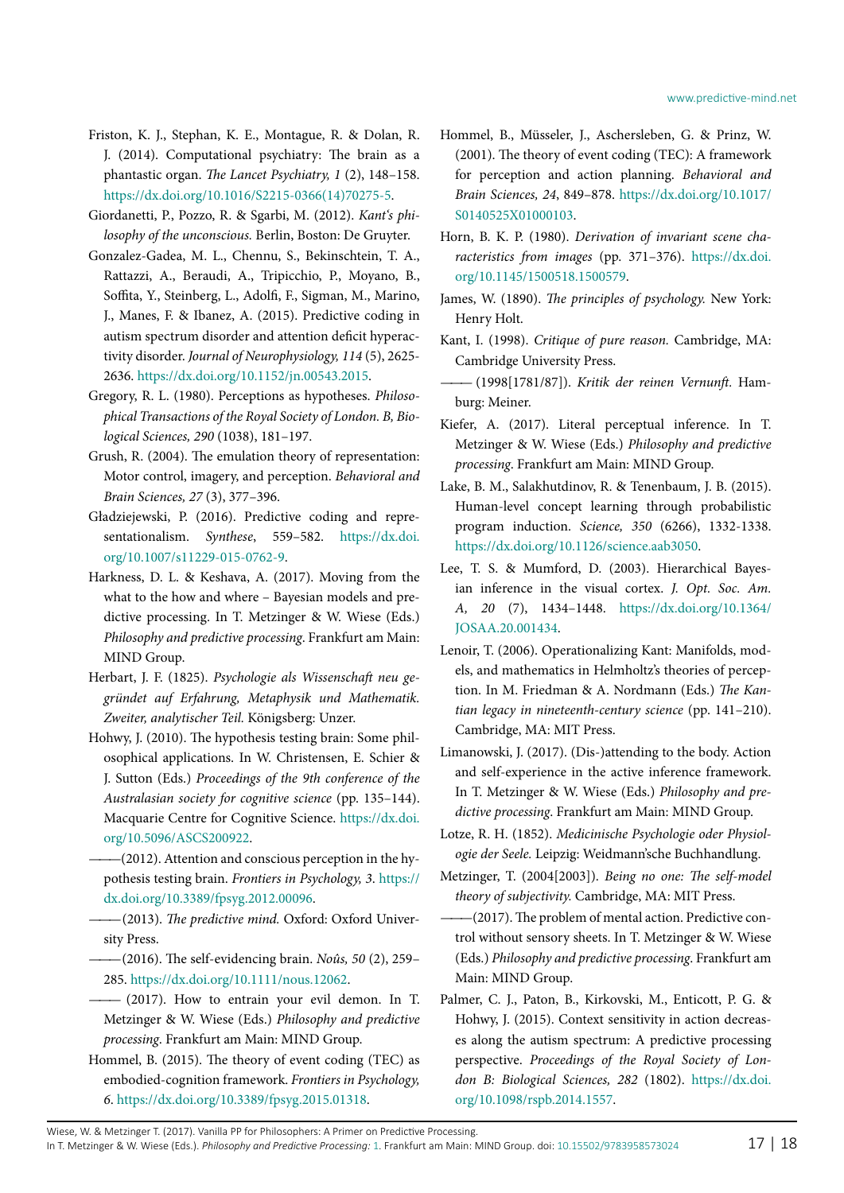- <span id="page-16-23"></span>Friston, K. J., Stephan, K. E., Montague, R. & Dolan, R. J. (2014). Computational psychiatry: The brain as a phantastic organ. *The Lancet Psychiatry, 1* (2), 148–158. [https://dx.doi.org/10.1016/S2215-0366\(14\)70275-5.](https://dx.doi.org/10.1016/S2215-0366(14)70275-5)
- <span id="page-16-7"></span>Giordanetti, P., Pozzo, R. & Sgarbi, M. (2012). *Kant's philosophy of the unconscious.* Berlin, Boston: De Gruyter.
- <span id="page-16-21"></span>Gonzalez-Gadea, M. L., Chennu, S., Bekinschtein, T. A., Rattazzi, A., Beraudi, A., Tripicchio, P., Moyano, B., Soffita, Y., Steinberg, L., Adolfi, F., Sigman, M., Marino, J., Manes, F. & Ibanez, A. (2015). Predictive coding in autism spectrum disorder and attention deficit hyperactivity disorder. *Journal of Neurophysiology, 114* (5), 2625- 2636. [https://dx.doi.org/10.1152/jn.00543.2015.](https://dx.doi.org/10.1152/jn.00543.2015)
- <span id="page-16-25"></span>Gregory, R. L. (1980). Perceptions as hypotheses. *Philosophical Transactions of the Royal Society of London. B, Biological Sciences, 290* (1038), 181–197.
- <span id="page-16-10"></span>Grush, R. (2004). The emulation theory of representation: Motor control, imagery, and perception. *Behavioral and Brain Sciences, 27* (3), 377–396.
- <span id="page-16-8"></span>Gładziejewski, P. (2016). Predictive coding and representationalism. *Synthese*, 559–582. [https://dx.doi.](https://dx.doi.org/10.1007/s11229-015-0762-9) [org/10.1007/s11229-015-0762-9.](https://dx.doi.org/10.1007/s11229-015-0762-9)
- <span id="page-16-27"></span>Harkness, D. L. & Keshava, A. (2017). Moving from the what to the how and where – Bayesian models and predictive processing. In T. Metzinger & W. Wiese (Eds.) *Philosophy and predictive processing*. Frankfurt am Main: MIND Group.
- <span id="page-16-15"></span>Herbart, J. F. (1825). *Psychologie als Wissenschaft neu gegründet auf Erfahrung, Metaphysik und Mathematik. Zweiter, analytischer Teil.* Königsberg: Unzer.
- <span id="page-16-24"></span>Hohwy, J. (2010). The hypothesis testing brain: Some philosophical applications. In W. Christensen, E. Schier & J. Sutton (Eds.) *Proceedings of the 9th conference of the Australasian society for cognitive science* (pp. 135–144). Macquarie Centre for Cognitive Science[. https://dx.doi.](https://dx.doi.org/10.5096/ASCS200922) [org/10.5096/ASCS200922.](https://dx.doi.org/10.5096/ASCS200922)
	- $-(2012)$ . Attention and conscious perception in the hypothesis testing brain. *Frontiers in Psychology, 3*. [https://](https://dx.doi.org/10.3389/fpsyg.2012.00096) [dx.doi.org/10.3389/fpsyg.2012.00096.](https://dx.doi.org/10.3389/fpsyg.2012.00096)
	- $-(2013)$ . The predictive mind. Oxford: Oxford University Press.
- <span id="page-16-17"></span><span id="page-16-2"></span><span id="page-16-0"></span>*———*(2016). The self-evidencing brain. *Noûs, 50* (2), 259– 285. [https://dx.doi.org/10.1111/nous.12062.](https://dx.doi.org/10.1111/nous.12062)
- <span id="page-16-1"></span> $-$  (2017). How to entrain your evil demon. In T. Metzinger & W. Wiese (Eds.) *Philosophy and predictive processing*. Frankfurt am Main: MIND Group.
- <span id="page-16-14"></span>Hommel, B. (2015). The theory of event coding (TEC) as embodied-cognition framework. *Frontiers in Psychology, 6*[. https://dx.doi.org/10.3389/fpsyg.2015.01318.](https://dx.doi.org/10.3389/fpsyg.2015.01318)
- <span id="page-16-13"></span>Hommel, B., Müsseler, J., Aschersleben, G. & Prinz, W. (2001). The theory of event coding (TEC): A framework for perception and action planning. *Behavioral and Brain Sciences, 24*, 849–878. [https://dx.doi.org/10.1017/](https://dx.doi.org/10.1017/S0140525X01000103) [S0140525X01000103.](https://dx.doi.org/10.1017/S0140525X01000103)
- <span id="page-16-9"></span>Horn, B. K. P. (1980). *Derivation of invariant scene characteristics from images* (pp. 371–376)[. https://dx.doi.](https://dx.doi.org/10.1145/1500518.1500579) [org/10.1145/1500518.1500579.](https://dx.doi.org/10.1145/1500518.1500579)
- <span id="page-16-12"></span>James, W. (1890). *The principles of psychology.* New York: Henry Holt.
- <span id="page-16-5"></span>Kant, I. (1998). *Critique of pure reason.* Cambridge, MA: Cambridge University Press.
- <span id="page-16-3"></span>*———* (1998[1781/87]). *Kritik der reinen Vernunft.* Hamburg: Meiner.
- <span id="page-16-26"></span>Kiefer, A. (2017). Literal perceptual inference. In T. Metzinger & W. Wiese (Eds.) *Philosophy and predictive processing*. Frankfurt am Main: MIND Group.
- <span id="page-16-19"></span>Lake, B. M., Salakhutdinov, R. & Tenenbaum, J. B. (2015). Human-level concept learning through probabilistic program induction. *Science, 350* (6266), 1332-1338. [https://dx.doi.org/10.1126/science.aab3050.](https://dx.doi.org/10.1126/science.aab3050)
- <span id="page-16-11"></span>Lee, T. S. & Mumford, D. (2003). Hierarchical Bayesian inference in the visual cortex. *J. Opt. Soc. Am. A, 20* (7), 1434–1448. [https://dx.doi.org/10.1364/](https://dx.doi.org/10.1364/JOSAA.20.001434) [JOSAA.20.001434.](https://dx.doi.org/10.1364/JOSAA.20.001434)
- <span id="page-16-4"></span>Lenoir, T. (2006). Operationalizing Kant: Manifolds, models, and mathematics in Helmholtz's theories of perception. In M. Friedman & A. Nordmann (Eds.) *The Kantian legacy in nineteenth-century science* (pp. 141–210). Cambridge, MA: MIT Press.
- <span id="page-16-20"></span>Limanowski, J. (2017). (Dis-)attending to the body. Action and self-experience in the active inference framework. In T. Metzinger & W. Wiese (Eds.) *Philosophy and predictive processing*. Frankfurt am Main: MIND Group.
- <span id="page-16-16"></span>Lotze, R. H. (1852). *Medicinische Psychologie oder Physiologie der Seele.* Leipzig: Weidmann'sche Buchhandlung.
- <span id="page-16-6"></span>Metzinger, T. (2004[2003]). *Being no one: The self-model theory of subjectivity.* Cambridge, MA: MIT Press.
- <span id="page-16-18"></span>*———*(2017). The problem of mental action. Predictive control without sensory sheets. In T. Metzinger & W. Wiese (Eds.) *Philosophy and predictive processing*. Frankfurt am Main: MIND Group.
- <span id="page-16-22"></span>Palmer, C. J., Paton, B., Kirkovski, M., Enticott, P. G. & Hohwy, J. (2015). Context sensitivity in action decreases along the autism spectrum: A predictive processing perspective. *Proceedings of the Royal Society of London B: Biological Sciences, 282* (1802)[. https://dx.doi.](https://dx.doi.org/10.1098/rspb.2014.1557) [org/10.1098/rspb.2014.1557.](https://dx.doi.org/10.1098/rspb.2014.1557)

Wiese, W. & Metzinger T. (2017). Vanilla PP for Philosophers: A Primer on Predictive Processing. In T. Metzinger & W. Wiese (Eds.). *Philosophy and Predictive Processing:* [1](http://predictive-mind.net/papers/@@chapters?nr=1). Frankfurt am Main: MIND Group. doi: [10.15502/9783958573024](http://dx.doi.org/10.15502/9783958573024) 17 | 18